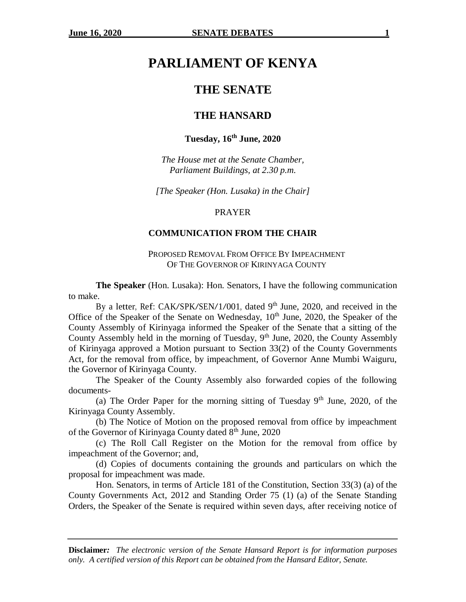# **PARLIAMENT OF KENYA**

## **THE SENATE**

## **THE HANSARD**

## **Tuesday, 16th June, 2020**

*The House met at the Senate Chamber, Parliament Buildings, at 2.30 p.m.*

*[The Speaker (Hon. Lusaka) in the Chair]*

#### PRAYER

## **COMMUNICATION FROM THE CHAIR**

PROPOSED REMOVAL FROM OFFICE BY IMPEACHMENT OF THE GOVERNOR OF KIRINYAGA COUNTY

**The Speaker** (Hon. Lusaka): Hon. Senators, I have the following communication to make.

By a letter, Ref: CAK/SPK/SEN/1/001, dated 9<sup>th</sup> June, 2020, and received in the Office of the Speaker of the Senate on Wednesday,  $10<sup>th</sup>$  June, 2020, the Speaker of the County Assembly of Kirinyaga informed the Speaker of the Senate that a sitting of the County Assembly held in the morning of Tuesday, 9<sup>th</sup> June, 2020, the County Assembly of Kirinyaga approved a Motion pursuant to Section 33(2) of the County Governments Act, for the removal from office, by impeachment, of Governor Anne Mumbi Waiguru, the Governor of Kirinyaga County.

The Speaker of the County Assembly also forwarded copies of the following documents-

(a) The Order Paper for the morning sitting of Tuesday  $9<sup>th</sup>$  June, 2020, of the Kirinyaga County Assembly.

(b) The Notice of Motion on the proposed removal from office by impeachment of the Governor of Kirinyaga County dated 8<sup>th</sup> June, 2020

(c) The Roll Call Register on the Motion for the removal from office by impeachment of the Governor; and,

(d) Copies of documents containing the grounds and particulars on which the proposal for impeachment was made.

Hon. Senators, in terms of Article 181 of the Constitution, Section 33(3) (a) of the County Governments Act, 2012 and Standing Order 75 (1) (a) of the Senate Standing Orders, the Speaker of the Senate is required within seven days, after receiving notice of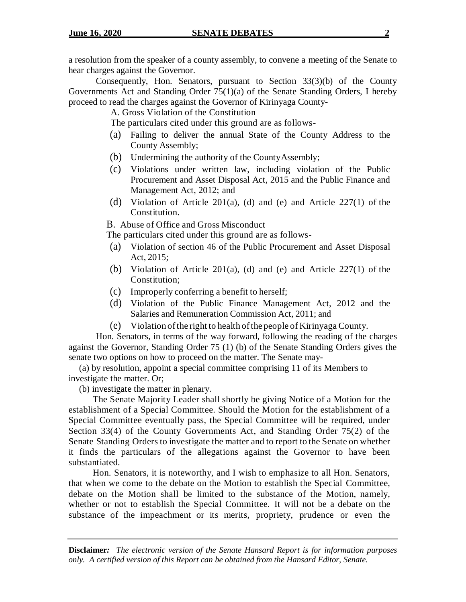a resolution from the speaker of a county assembly, to convene a meeting of the Senate to hear charges against the Governor.

Consequently, Hon. Senators, pursuant to Section 33(3)(b) of the County Governments Act and Standing Order 75(1)(a) of the Senate Standing Orders, I hereby proceed to read the charges against the Governor of Kirinyaga County-

A. Gross Violation of the Constitution

The particulars cited under this ground are as follows-

- (a) Failing to deliver the annual State of the County Address to the County Assembly;
- (b) Undermining the authority of the CountyAssembly;
- (c) Violations under written law, including violation of the Public Procurement and Asset Disposal Act, 2015 and the Public Finance and Management Act, 2012; and
- (d) Violation of Article 201(a), (d) and (e) and Article  $227(1)$  of the Constitution.

B. Abuse of Office and Gross Misconduct

The particulars cited under this ground are as follows-

- (a) Violation of section 46 of the Public Procurement and Asset Disposal Act, 2015;
- (b) Violation of Article 201(a), (d) and (e) and Article  $227(1)$  of the Constitution;
- (c) Improperly conferring a benefit to herself;
- (d) Violation of the Public Finance Management Act, 2012 and the Salaries and Remuneration Commission Act, 2011; and
- (e) Violation ofthe right to health ofthe people of Kirinyaga County.

Hon. Senators, in terms of the way forward, following the reading of the charges against the Governor, Standing Order 75 (1) (b) of the Senate Standing Orders gives the senate two options on how to proceed on the matter. The Senate may-

(a) by resolution, appoint a special committee comprising 11 of its Members to investigate the matter. Or;

(b) investigate the matter in plenary.

The Senate Majority Leader shall shortly be giving Notice of a Motion for the establishment of a Special Committee. Should the Motion for the establishment of a Special Committee eventually pass, the Special Committee will be required, under Section 33(4) of the County Governments Act, and Standing Order 75(2) of the Senate Standing Orders to investigate the matter and to report to the Senate on whether it finds the particulars of the allegations against the Governor to have been substantiated.

Hon. Senators, it is noteworthy, and I wish to emphasize to all Hon. Senators, that when we come to the debate on the Motion to establish the Special Committee, debate on the Motion shall be limited to the substance of the Motion, namely, whether or not to establish the Special Committee. It will not be a debate on the substance of the impeachment or its merits, propriety, prudence or even the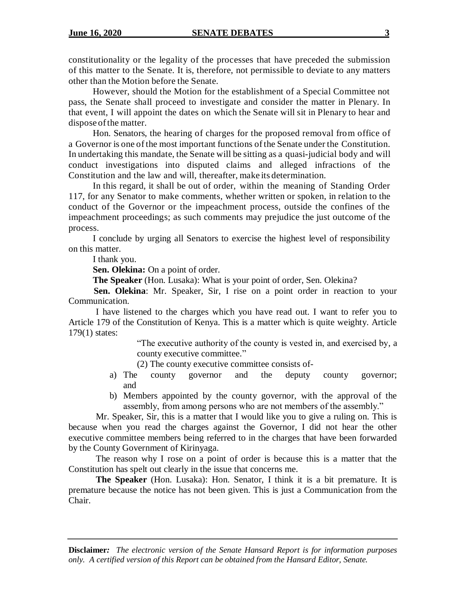constitutionality or the legality of the processes that have preceded the submission of this matter to the Senate. It is, therefore, not permissible to deviate to any matters other than the Motion before the Senate.

However, should the Motion for the establishment of a Special Committee not pass, the Senate shall proceed to investigate and consider the matter in Plenary. In that event, I will appoint the dates on which the Senate will sit in Plenary to hear and dispose of the matter.

Hon. Senators, the hearing of charges for the proposed removal from office of a Governor is one ofthe most important functions ofthe Senate under the Constitution. In undertaking this mandate, the Senate will be sitting as a quasi-judicial body and will conduct investigations into disputed claims and alleged infractions of the Constitution and the law and will, thereafter, make its determination.

In this regard, it shall be out of order, within the meaning of Standing Order 117, for any Senator to make comments, whether written or spoken, in relation to the conduct of the Governor or the impeachment process, outside the confines of the impeachment proceedings; as such comments may prejudice the just outcome of the process.

I conclude by urging all Senators to exercise the highest level of responsibility on this matter.

I thank you.

**Sen. Olekina:** On a point of order.

**The Speaker** (Hon. Lusaka): What is your point of order, Sen. Olekina?

 **Sen. Olekina**: Mr. Speaker, Sir, I rise on a point order in reaction to your Communication.

I have listened to the charges which you have read out. I want to refer you to Article 179 of the Constitution of Kenya. This is a matter which is quite weighty. Article 179(1) states:

> "The executive authority of the county is vested in, and exercised by, a county executive committee."

(2) The county executive committee consists of-

- a) The county governor and the deputy county governor; and
- b) Members appointed by the county governor, with the approval of the assembly, from among persons who are not members of the assembly."

Mr. Speaker, Sir, this is a matter that I would like you to give a ruling on. This is because when you read the charges against the Governor, I did not hear the other executive committee members being referred to in the charges that have been forwarded by the County Government of Kirinyaga.

The reason why I rose on a point of order is because this is a matter that the Constitution has spelt out clearly in the issue that concerns me.

**The Speaker** (Hon. Lusaka): Hon. Senator, I think it is a bit premature. It is premature because the notice has not been given. This is just a Communication from the Chair.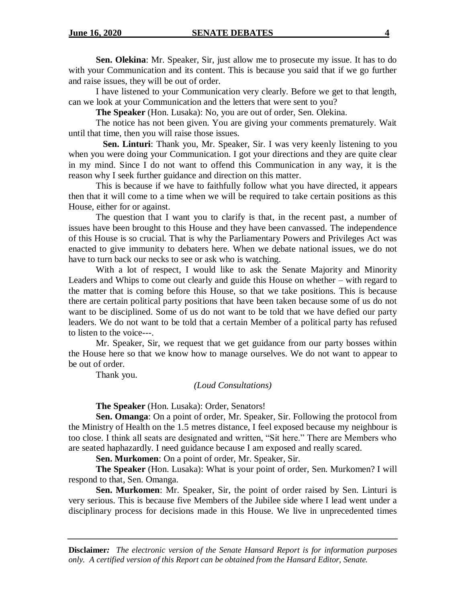**Sen. Olekina**: Mr. Speaker, Sir, just allow me to prosecute my issue. It has to do with your Communication and its content. This is because you said that if we go further and raise issues, they will be out of order.

I have listened to your Communication very clearly. Before we get to that length, can we look at your Communication and the letters that were sent to you?

**The Speaker** (Hon. Lusaka): No, you are out of order, Sen. Olekina.

The notice has not been given. You are giving your comments prematurely. Wait until that time, then you will raise those issues.

 **Sen. Linturi**: Thank you, Mr. Speaker, Sir. I was very keenly listening to you when you were doing your Communication. I got your directions and they are quite clear in my mind. Since I do not want to offend this Communication in any way, it is the reason why I seek further guidance and direction on this matter.

This is because if we have to faithfully follow what you have directed, it appears then that it will come to a time when we will be required to take certain positions as this House, either for or against.

The question that I want you to clarify is that, in the recent past, a number of issues have been brought to this House and they have been canvassed. The independence of this House is so crucial. That is why the Parliamentary Powers and Privileges Act was enacted to give immunity to debaters here. When we debate national issues, we do not have to turn back our necks to see or ask who is watching.

With a lot of respect, I would like to ask the Senate Majority and Minority Leaders and Whips to come out clearly and guide this House on whether – with regard to the matter that is coming before this House, so that we take positions. This is because there are certain political party positions that have been taken because some of us do not want to be disciplined. Some of us do not want to be told that we have defied our party leaders. We do not want to be told that a certain Member of a political party has refused to listen to the voice---.

Mr. Speaker, Sir, we request that we get guidance from our party bosses within the House here so that we know how to manage ourselves. We do not want to appear to be out of order.

Thank you.

#### *(Loud Consultations)*

**The Speaker** (Hon. Lusaka): Order, Senators!

**Sen. Omanga**: On a point of order, Mr. Speaker, Sir. Following the protocol from the Ministry of Health on the 1.5 metres distance, I feel exposed because my neighbour is too close. I think all seats are designated and written, "Sit here." There are Members who are seated haphazardly. I need guidance because I am exposed and really scared.

**Sen. Murkomen**: On a point of order, Mr. Speaker, Sir.

**The Speaker** (Hon. Lusaka): What is your point of order, Sen. Murkomen? I will respond to that, Sen. Omanga.

**Sen. Murkomen**: Mr. Speaker, Sir, the point of order raised by Sen. Linturi is very serious. This is because five Members of the Jubilee side where I lead went under a disciplinary process for decisions made in this House. We live in unprecedented times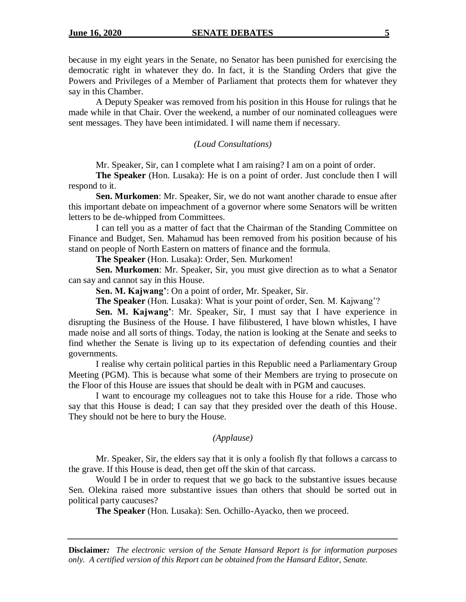because in my eight years in the Senate, no Senator has been punished for exercising the democratic right in whatever they do. In fact, it is the Standing Orders that give the Powers and Privileges of a Member of Parliament that protects them for whatever they say in this Chamber.

A Deputy Speaker was removed from his position in this House for rulings that he made while in that Chair. Over the weekend, a number of our nominated colleagues were sent messages. They have been intimidated. I will name them if necessary.

#### *(Loud Consultations)*

Mr. Speaker, Sir, can I complete what I am raising? I am on a point of order.

**The Speaker** (Hon. Lusaka): He is on a point of order. Just conclude then I will respond to it.

**Sen. Murkomen**: Mr. Speaker, Sir, we do not want another charade to ensue after this important debate on impeachment of a governor where some Senators will be written letters to be de-whipped from Committees.

I can tell you as a matter of fact that the Chairman of the Standing Committee on Finance and Budget, Sen. Mahamud has been removed from his position because of his stand on people of North Eastern on matters of finance and the formula.

**The Speaker** (Hon. Lusaka): Order, Sen. Murkomen!

**Sen. Murkomen**: Mr. Speaker, Sir, you must give direction as to what a Senator can say and cannot say in this House.

**Sen. M. Kajwang'**: On a point of order, Mr. Speaker, Sir.

**The Speaker** (Hon. Lusaka): What is your point of order, Sen. M. Kajwang'?

**Sen. M. Kajwang'**: Mr. Speaker, Sir, I must say that I have experience in disrupting the Business of the House. I have filibustered, I have blown whistles, I have made noise and all sorts of things. Today, the nation is looking at the Senate and seeks to find whether the Senate is living up to its expectation of defending counties and their governments.

I realise why certain political parties in this Republic need a Parliamentary Group Meeting (PGM). This is because what some of their Members are trying to prosecute on the Floor of this House are issues that should be dealt with in PGM and caucuses.

I want to encourage my colleagues not to take this House for a ride. Those who say that this House is dead; I can say that they presided over the death of this House. They should not be here to bury the House.

#### *(Applause)*

Mr. Speaker, Sir, the elders say that it is only a foolish fly that follows a carcass to the grave. If this House is dead, then get off the skin of that carcass.

Would I be in order to request that we go back to the substantive issues because Sen. Olekina raised more substantive issues than others that should be sorted out in political party caucuses?

**The Speaker** (Hon. Lusaka): Sen. Ochillo-Ayacko, then we proceed.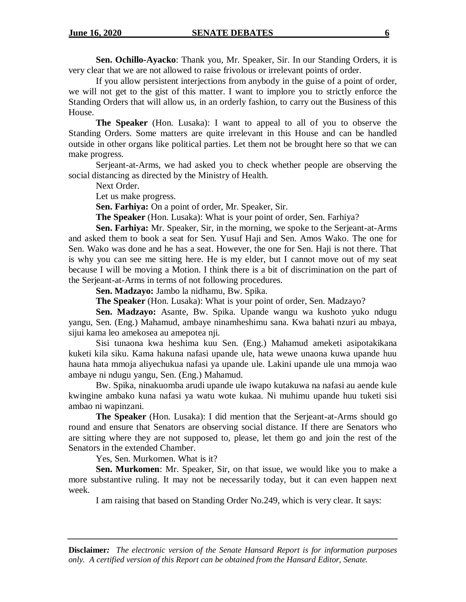**Sen. Ochillo-Ayacko**: Thank you, Mr. Speaker, Sir. In our Standing Orders, it is very clear that we are not allowed to raise frivolous or irrelevant points of order.

If you allow persistent interjections from anybody in the guise of a point of order, we will not get to the gist of this matter. I want to implore you to strictly enforce the Standing Orders that will allow us, in an orderly fashion, to carry out the Business of this House.

**The Speaker** (Hon. Lusaka): I want to appeal to all of you to observe the Standing Orders. Some matters are quite irrelevant in this House and can be handled outside in other organs like political parties. Let them not be brought here so that we can make progress.

Serjeant-at-Arms, we had asked you to check whether people are observing the social distancing as directed by the Ministry of Health.

Next Order.

Let us make progress.

**Sen. Farhiya:** On a point of order, Mr. Speaker, Sir.

**The Speaker** (Hon. Lusaka): What is your point of order, Sen. Farhiya?

**Sen. Farhiya:** Mr. Speaker, Sir, in the morning, we spoke to the Serjeant-at-Arms and asked them to book a seat for Sen. Yusuf Haji and Sen. Amos Wako. The one for Sen. Wako was done and he has a seat. However, the one for Sen. Haji is not there. That is why you can see me sitting here. He is my elder, but I cannot move out of my seat because I will be moving a Motion. I think there is a bit of discrimination on the part of the Serjeant-at-Arms in terms of not following procedures.

**Sen. Madzayo:** Jambo la nidhamu, Bw. Spika.

**The Speaker** (Hon. Lusaka): What is your point of order, Sen. Madzayo?

**Sen. Madzayo:** Asante, Bw. Spika. Upande wangu wa kushoto yuko ndugu yangu, Sen. (Eng.) Mahamud, ambaye ninamheshimu sana. Kwa bahati nzuri au mbaya, sijui kama leo amekosea au amepotea nji.

Sisi tunaona kwa heshima kuu Sen. (Eng.) Mahamud ameketi asipotakikana kuketi kila siku. Kama hakuna nafasi upande ule, hata wewe unaona kuwa upande huu hauna hata mmoja aliyechukua nafasi ya upande ule. Lakini upande ule una mmoja wao ambaye ni ndugu yangu, Sen. (Eng.) Mahamud.

Bw. Spika, ninakuomba arudi upande ule iwapo kutakuwa na nafasi au aende kule kwingine ambako kuna nafasi ya watu wote kukaa. Ni muhimu upande huu tuketi sisi ambao ni wapinzani.

**The Speaker** (Hon. Lusaka): I did mention that the Serjeant-at-Arms should go round and ensure that Senators are observing social distance. If there are Senators who are sitting where they are not supposed to, please, let them go and join the rest of the Senators in the extended Chamber.

Yes, Sen. Murkomen. What is it?

**Sen. Murkomen**: Mr. Speaker, Sir, on that issue, we would like you to make a more substantive ruling. It may not be necessarily today, but it can even happen next week.

I am raising that based on Standing Order No.249, which is very clear. It says: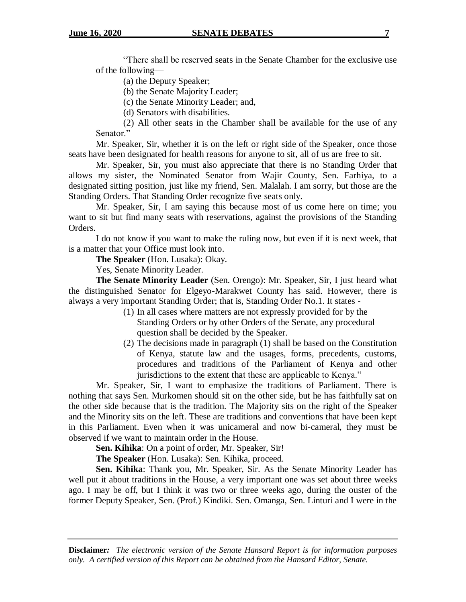"There shall be reserved seats in the Senate Chamber for the exclusive use of the following—

(a) the Deputy Speaker;

(b) the Senate Majority Leader;

(c) the Senate Minority Leader; and,

(d) Senators with disabilities.

(2) All other seats in the Chamber shall be available for the use of any Senator."

Mr. Speaker, Sir, whether it is on the left or right side of the Speaker, once those seats have been designated for health reasons for anyone to sit, all of us are free to sit.

Mr. Speaker, Sir, you must also appreciate that there is no Standing Order that allows my sister, the Nominated Senator from Wajir County, Sen. Farhiya, to a designated sitting position, just like my friend, Sen. Malalah. I am sorry, but those are the Standing Orders. That Standing Order recognize five seats only.

Mr. Speaker, Sir, I am saying this because most of us come here on time; you want to sit but find many seats with reservations, against the provisions of the Standing Orders.

I do not know if you want to make the ruling now, but even if it is next week, that is a matter that your Office must look into.

**The Speaker** (Hon. Lusaka): Okay.

Yes, Senate Minority Leader.

**The Senate Minority Leader** (Sen. Orengo): Mr. Speaker, Sir, I just heard what the distinguished Senator for Elgeyo-Marakwet County has said. However, there is always a very important Standing Order; that is, Standing Order No.1. It states -

- (1) In all cases where matters are not expressly provided for by the Standing Orders or by other Orders of the Senate, any procedural question shall be decided by the Speaker.
- (2) The decisions made in paragraph (1) shall be based on the Constitution of Kenya, statute law and the usages, forms, precedents, customs, procedures and traditions of the Parliament of Kenya and other jurisdictions to the extent that these are applicable to Kenya."

Mr. Speaker, Sir, I want to emphasize the traditions of Parliament. There is nothing that says Sen. Murkomen should sit on the other side, but he has faithfully sat on the other side because that is the tradition. The Majority sits on the right of the Speaker and the Minority sits on the left. These are traditions and conventions that have been kept in this Parliament. Even when it was unicameral and now bi-cameral, they must be observed if we want to maintain order in the House.

**Sen. Kihika**: On a point of order, Mr. Speaker, Sir!

**The Speaker** (Hon. Lusaka): Sen. Kihika, proceed.

**Sen. Kihika**: Thank you, Mr. Speaker, Sir. As the Senate Minority Leader has well put it about traditions in the House, a very important one was set about three weeks ago. I may be off, but I think it was two or three weeks ago, during the ouster of the former Deputy Speaker, Sen. (Prof.) Kindiki. Sen. Omanga, Sen. Linturi and I were in the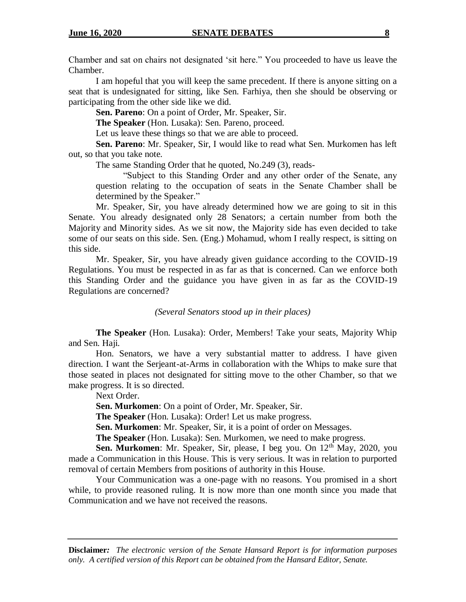Chamber and sat on chairs not designated 'sit here." You proceeded to have us leave the Chamber.

I am hopeful that you will keep the same precedent. If there is anyone sitting on a seat that is undesignated for sitting, like Sen. Farhiya, then she should be observing or participating from the other side like we did.

**Sen. Pareno**: On a point of Order, Mr. Speaker, Sir.

**The Speaker** (Hon. Lusaka): Sen. Pareno, proceed.

Let us leave these things so that we are able to proceed.

**Sen. Pareno**: Mr. Speaker, Sir, I would like to read what Sen. Murkomen has left out, so that you take note.

The same Standing Order that he quoted, No.249 (3), reads-

"Subject to this Standing Order and any other order of the Senate, any question relating to the occupation of seats in the Senate Chamber shall be determined by the Speaker."

Mr. Speaker, Sir, you have already determined how we are going to sit in this Senate. You already designated only 28 Senators; a certain number from both the Majority and Minority sides. As we sit now, the Majority side has even decided to take some of our seats on this side. Sen. (Eng.) Mohamud, whom I really respect, is sitting on this side.

Mr. Speaker, Sir, you have already given guidance according to the COVID-19 Regulations. You must be respected in as far as that is concerned. Can we enforce both this Standing Order and the guidance you have given in as far as the COVID-19 Regulations are concerned?

*(Several Senators stood up in their places)*

**The Speaker** (Hon. Lusaka): Order, Members! Take your seats, Majority Whip and Sen. Haji.

Hon. Senators, we have a very substantial matter to address. I have given direction. I want the Serjeant-at-Arms in collaboration with the Whips to make sure that those seated in places not designated for sitting move to the other Chamber, so that we make progress. It is so directed.

Next Order.

**Sen. Murkomen**: On a point of Order, Mr. Speaker, Sir.

**The Speaker** (Hon. Lusaka): Order! Let us make progress.

**Sen. Murkomen**: Mr. Speaker, Sir, it is a point of order on Messages.

**The Speaker** (Hon. Lusaka): Sen. Murkomen, we need to make progress.

**Sen. Murkomen**: Mr. Speaker, Sir, please, I beg you. On 12<sup>th</sup> May, 2020, you made a Communication in this House. This is very serious. It was in relation to purported removal of certain Members from positions of authority in this House.

Your Communication was a one-page with no reasons. You promised in a short while, to provide reasoned ruling. It is now more than one month since you made that Communication and we have not received the reasons.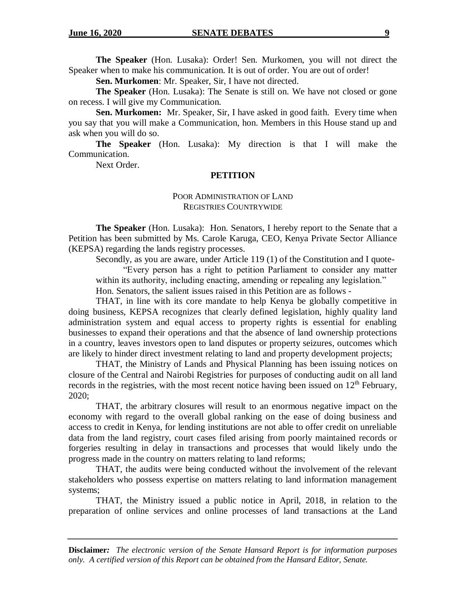**The Speaker** (Hon. Lusaka): Order! Sen. Murkomen, you will not direct the Speaker when to make his communication. It is out of order. You are out of order!

**Sen. Murkomen**: Mr. Speaker, Sir, I have not directed.

**The Speaker** (Hon. Lusaka): The Senate is still on. We have not closed or gone on recess. I will give my Communication.

**Sen. Murkomen:** Mr. Speaker, Sir, I have asked in good faith. Every time when you say that you will make a Communication, hon. Members in this House stand up and ask when you will do so.

**The Speaker** (Hon. Lusaka): My direction is that I will make the Communication.

Next Order.

## **PETITION**

## POOR ADMINISTRATION OF LAND REGISTRIES COUNTRYWIDE

**The Speaker** (Hon. Lusaka): Hon. Senators, I hereby report to the Senate that a Petition has been submitted by Ms. Carole Karuga, CEO, Kenya Private Sector Alliance (KEPSA) regarding the lands registry processes.

Secondly, as you are aware, under Article 119 (1) of the Constitution and I quote-

"Every person has a right to petition Parliament to consider any matter within its authority, including enacting, amending or repealing any legislation." Hon. Senators, the salient issues raised in this Petition are as follows -

THAT, in line with its core mandate to help Kenya be globally competitive in doing business, KEPSA recognizes that clearly defined legislation, highly quality land administration system and equal access to property rights is essential for enabling businesses to expand their operations and that the absence of land ownership protections in a country, leaves investors open to land disputes or property seizures, outcomes which are likely to hinder direct investment relating to land and property development projects;

THAT, the Ministry of Lands and Physical Planning has been issuing notices on closure of the Central and Nairobi Registries for purposes of conducting audit on all land records in the registries, with the most recent notice having been issued on  $12<sup>th</sup>$  February, 2020;

THAT, the arbitrary closures will result to an enormous negative impact on the economy with regard to the overall global ranking on the ease of doing business and access to credit in Kenya, for lending institutions are not able to offer credit on unreliable data from the land registry, court cases filed arising from poorly maintained records or forgeries resulting in delay in transactions and processes that would likely undo the progress made in the country on matters relating to land reforms;

THAT, the audits were being conducted without the involvement of the relevant stakeholders who possess expertise on matters relating to land information management systems;

THAT, the Ministry issued a public notice in April, 2018, in relation to the preparation of online services and online processes of land transactions at the Land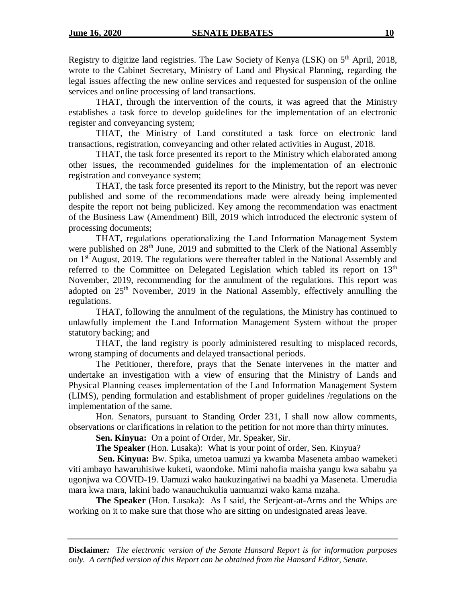Registry to digitize land registries. The Law Society of Kenya (LSK) on  $5<sup>th</sup>$  April, 2018, wrote to the Cabinet Secretary, Ministry of Land and Physical Planning, regarding the legal issues affecting the new online services and requested for suspension of the online services and online processing of land transactions.

THAT, through the intervention of the courts, it was agreed that the Ministry establishes a task force to develop guidelines for the implementation of an electronic register and conveyancing system;

THAT, the Ministry of Land constituted a task force on electronic land transactions, registration, conveyancing and other related activities in August, 2018.

THAT, the task force presented its report to the Ministry which elaborated among other issues, the recommended guidelines for the implementation of an electronic registration and conveyance system;

THAT, the task force presented its report to the Ministry, but the report was never published and some of the recommendations made were already being implemented despite the report not being publicized. Key among the recommendation was enactment of the Business Law (Amendment) Bill, 2019 which introduced the electronic system of processing documents;

THAT, regulations operationalizing the Land Information Management System were published on 28<sup>th</sup> June, 2019 and submitted to the Clerk of the National Assembly on 1<sup>st</sup> August, 2019. The regulations were thereafter tabled in the National Assembly and referred to the Committee on Delegated Legislation which tabled its report on  $13<sup>th</sup>$ November, 2019, recommending for the annulment of the regulations. This report was adopted on 25<sup>th</sup> November, 2019 in the National Assembly, effectively annulling the regulations.

THAT, following the annulment of the regulations, the Ministry has continued to unlawfully implement the Land Information Management System without the proper statutory backing; and

THAT, the land registry is poorly administered resulting to misplaced records, wrong stamping of documents and delayed transactional periods.

The Petitioner, therefore, prays that the Senate intervenes in the matter and undertake an investigation with a view of ensuring that the Ministry of Lands and Physical Planning ceases implementation of the Land Information Management System (LIMS), pending formulation and establishment of proper guidelines /regulations on the implementation of the same.

Hon. Senators, pursuant to Standing Order 231, I shall now allow comments, observations or clarifications in relation to the petition for not more than thirty minutes.

**Sen. Kinyua:** On a point of Order, Mr. Speaker, Sir.

**The Speaker** (Hon. Lusaka): What is your point of order, Sen. Kinyua?

**Sen. Kinyua:** Bw. Spika, umetoa uamuzi ya kwamba Maseneta ambao wameketi viti ambayo hawaruhisiwe kuketi, waondoke. Mimi nahofia maisha yangu kwa sababu ya ugonjwa wa COVID-19. Uamuzi wako haukuzingatiwi na baadhi ya Maseneta. Umerudia mara kwa mara, lakini bado wanauchukulia uamuamzi wako kama mzaha.

**The Speaker** (Hon. Lusaka): As I said, the Serjeant-at-Arms and the Whips are working on it to make sure that those who are sitting on undesignated areas leave.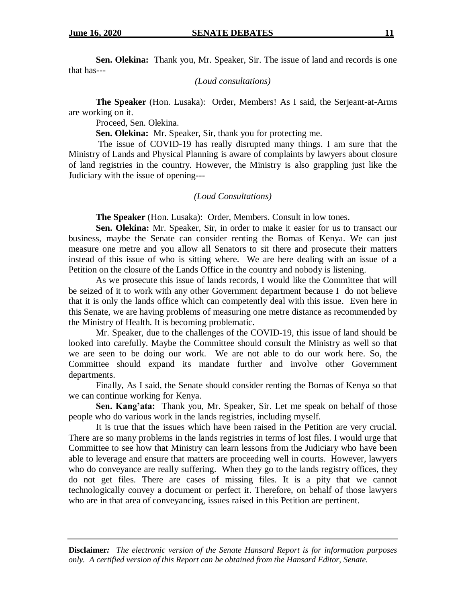**Sen. Olekina:** Thank you, Mr. Speaker, Sir. The issue of land and records is one that has---

*(Loud consultations)*

**The Speaker** (Hon. Lusaka): Order, Members! As I said, the Serjeant-at-Arms are working on it.

Proceed, Sen. Olekina.

**Sen. Olekina:** Mr. Speaker, Sir, thank you for protecting me.

The issue of COVID-19 has really disrupted many things. I am sure that the Ministry of Lands and Physical Planning is aware of complaints by lawyers about closure of land registries in the country. However, the Ministry is also grappling just like the Judiciary with the issue of opening---

## *(Loud Consultations)*

**The Speaker** (Hon. Lusaka): Order, Members. Consult in low tones.

**Sen. Olekina:** Mr. Speaker, Sir, in order to make it easier for us to transact our business, maybe the Senate can consider renting the Bomas of Kenya. We can just measure one metre and you allow all Senators to sit there and prosecute their matters instead of this issue of who is sitting where. We are here dealing with an issue of a Petition on the closure of the Lands Office in the country and nobody is listening.

As we prosecute this issue of lands records, I would like the Committee that will be seized of it to work with any other Government department because I do not believe that it is only the lands office which can competently deal with this issue. Even here in this Senate, we are having problems of measuring one metre distance as recommended by the Ministry of Health. It is becoming problematic.

Mr. Speaker, due to the challenges of the COVID-19, this issue of land should be looked into carefully. Maybe the Committee should consult the Ministry as well so that we are seen to be doing our work. We are not able to do our work here. So, the Committee should expand its mandate further and involve other Government departments.

Finally, As I said, the Senate should consider renting the Bomas of Kenya so that we can continue working for Kenya.

**Sen. Kang'ata:** Thank you, Mr. Speaker, Sir. Let me speak on behalf of those people who do various work in the lands registries, including myself.

It is true that the issues which have been raised in the Petition are very crucial. There are so many problems in the lands registries in terms of lost files. I would urge that Committee to see how that Ministry can learn lessons from the Judiciary who have been able to leverage and ensure that matters are proceeding well in courts. However, lawyers who do conveyance are really suffering. When they go to the lands registry offices, they do not get files. There are cases of missing files. It is a pity that we cannot technologically convey a document or perfect it. Therefore, on behalf of those lawyers who are in that area of conveyancing, issues raised in this Petition are pertinent.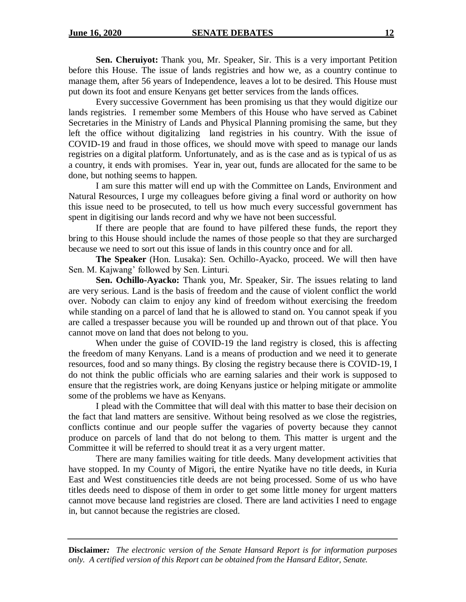**Sen. Cheruiyot:** Thank you, Mr. Speaker, Sir. This is a very important Petition before this House. The issue of lands registries and how we, as a country continue to manage them, after 56 years of Independence, leaves a lot to be desired. This House must put down its foot and ensure Kenyans get better services from the lands offices.

Every successive Government has been promising us that they would digitize our lands registries. I remember some Members of this House who have served as Cabinet Secretaries in the Ministry of Lands and Physical Planning promising the same, but they left the office without digitalizing land registries in his country. With the issue of COVID-19 and fraud in those offices, we should move with speed to manage our lands registries on a digital platform. Unfortunately, and as is the case and as is typical of us as a country, it ends with promises. Year in, year out, funds are allocated for the same to be done, but nothing seems to happen.

I am sure this matter will end up with the Committee on Lands, Environment and Natural Resources, I urge my colleagues before giving a final word or authority on how this issue need to be prosecuted, to tell us how much every successful government has spent in digitising our lands record and why we have not been successful.

If there are people that are found to have pilfered these funds, the report they bring to this House should include the names of those people so that they are surcharged because we need to sort out this issue of lands in this country once and for all.

**The Speaker** (Hon. Lusaka): Sen. Ochillo-Ayacko, proceed. We will then have Sen. M. Kajwang' followed by Sen. Linturi.

**Sen. Ochillo-Ayacko:** Thank you, Mr. Speaker, Sir. The issues relating to land are very serious. Land is the basis of freedom and the cause of violent conflict the world over. Nobody can claim to enjoy any kind of freedom without exercising the freedom while standing on a parcel of land that he is allowed to stand on. You cannot speak if you are called a trespasser because you will be rounded up and thrown out of that place. You cannot move on land that does not belong to you.

When under the guise of COVID-19 the land registry is closed, this is affecting the freedom of many Kenyans. Land is a means of production and we need it to generate resources, food and so many things. By closing the registry because there is COVID-19, I do not think the public officials who are earning salaries and their work is supposed to ensure that the registries work, are doing Kenyans justice or helping mitigate or ammolite some of the problems we have as Kenyans.

I plead with the Committee that will deal with this matter to base their decision on the fact that land matters are sensitive. Without being resolved as we close the registries, conflicts continue and our people suffer the vagaries of poverty because they cannot produce on parcels of land that do not belong to them. This matter is urgent and the Committee it will be referred to should treat it as a very urgent matter.

There are many families waiting for title deeds. Many development activities that have stopped. In my County of Migori, the entire Nyatike have no title deeds, in Kuria East and West constituencies title deeds are not being processed. Some of us who have titles deeds need to dispose of them in order to get some little money for urgent matters cannot move because land registries are closed. There are land activities I need to engage in, but cannot because the registries are closed.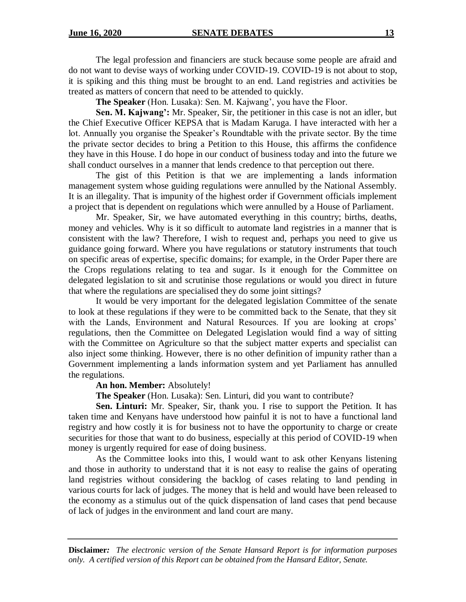The legal profession and financiers are stuck because some people are afraid and do not want to devise ways of working under COVID-19. COVID-19 is not about to stop, it is spiking and this thing must be brought to an end. Land registries and activities be treated as matters of concern that need to be attended to quickly.

**The Speaker** (Hon. Lusaka): Sen. M. Kajwang', you have the Floor.

**Sen. M. Kajwang':** Mr. Speaker, Sir, the petitioner in this case is not an idler, but the Chief Executive Officer KEPSA that is Madam Karuga. I have interacted with her a lot. Annually you organise the Speaker's Roundtable with the private sector. By the time the private sector decides to bring a Petition to this House, this affirms the confidence they have in this House. I do hope in our conduct of business today and into the future we shall conduct ourselves in a manner that lends credence to that perception out there.

The gist of this Petition is that we are implementing a lands information management system whose guiding regulations were annulled by the National Assembly. It is an illegality. That is impunity of the highest order if Government officials implement a project that is dependent on regulations which were annulled by a House of Parliament.

Mr. Speaker, Sir, we have automated everything in this country; births, deaths, money and vehicles. Why is it so difficult to automate land registries in a manner that is consistent with the law? Therefore, I wish to request and, perhaps you need to give us guidance going forward. Where you have regulations or statutory instruments that touch on specific areas of expertise, specific domains; for example, in the Order Paper there are the Crops regulations relating to tea and sugar. Is it enough for the Committee on delegated legislation to sit and scrutinise those regulations or would you direct in future that where the regulations are specialised they do some joint sittings?

It would be very important for the delegated legislation Committee of the senate to look at these regulations if they were to be committed back to the Senate, that they sit with the Lands, Environment and Natural Resources. If you are looking at crops' regulations, then the Committee on Delegated Legislation would find a way of sitting with the Committee on Agriculture so that the subject matter experts and specialist can also inject some thinking. However, there is no other definition of impunity rather than a Government implementing a lands information system and yet Parliament has annulled the regulations.

## **An hon. Member:** Absolutely!

**The Speaker** (Hon. Lusaka): Sen. Linturi, did you want to contribute?

**Sen. Linturi:** Mr. Speaker, Sir, thank you. I rise to support the Petition. It has taken time and Kenyans have understood how painful it is not to have a functional land registry and how costly it is for business not to have the opportunity to charge or create securities for those that want to do business, especially at this period of COVID-19 when money is urgently required for ease of doing business.

As the Committee looks into this, I would want to ask other Kenyans listening and those in authority to understand that it is not easy to realise the gains of operating land registries without considering the backlog of cases relating to land pending in various courts for lack of judges. The money that is held and would have been released to the economy as a stimulus out of the quick dispensation of land cases that pend because of lack of judges in the environment and land court are many.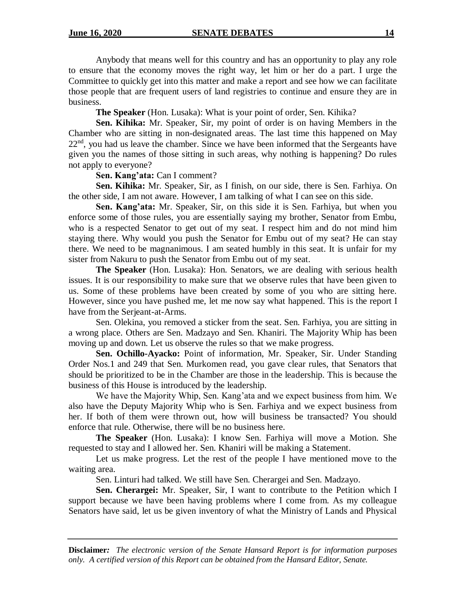Anybody that means well for this country and has an opportunity to play any role to ensure that the economy moves the right way, let him or her do a part. I urge the Committee to quickly get into this matter and make a report and see how we can facilitate those people that are frequent users of land registries to continue and ensure they are in business.

**The Speaker** (Hon. Lusaka): What is your point of order, Sen. Kihika?

**Sen. Kihika:** Mr. Speaker, Sir, my point of order is on having Members in the Chamber who are sitting in non-designated areas. The last time this happened on May  $22<sup>nd</sup>$ , you had us leave the chamber. Since we have been informed that the Sergeants have given you the names of those sitting in such areas, why nothing is happening? Do rules not apply to everyone?

**Sen. Kang'ata:** Can I comment?

**Sen. Kihika:** Mr. Speaker, Sir, as I finish, on our side, there is Sen. Farhiya. On the other side, I am not aware. However, I am talking of what I can see on this side.

**Sen. Kang'ata:** Mr. Speaker, Sir, on this side it is Sen. Farhiya, but when you enforce some of those rules, you are essentially saying my brother, Senator from Embu, who is a respected Senator to get out of my seat. I respect him and do not mind him staying there. Why would you push the Senator for Embu out of my seat? He can stay there. We need to be magnanimous. I am seated humbly in this seat. It is unfair for my sister from Nakuru to push the Senator from Embu out of my seat.

**The Speaker** (Hon. Lusaka): Hon. Senators, we are dealing with serious health issues. It is our responsibility to make sure that we observe rules that have been given to us. Some of these problems have been created by some of you who are sitting here. However, since you have pushed me, let me now say what happened. This is the report I have from the Serjeant-at-Arms.

Sen. Olekina, you removed a sticker from the seat. Sen. Farhiya, you are sitting in a wrong place. Others are Sen. Madzayo and Sen. Khaniri. The Majority Whip has been moving up and down. Let us observe the rules so that we make progress.

**Sen. Ochillo-Ayacko:** Point of information, Mr. Speaker, Sir. Under Standing Order Nos.1 and 249 that Sen. Murkomen read, you gave clear rules, that Senators that should be prioritized to be in the Chamber are those in the leadership. This is because the business of this House is introduced by the leadership.

We have the Majority Whip, Sen. Kang'ata and we expect business from him. We also have the Deputy Majority Whip who is Sen. Farhiya and we expect business from her. If both of them were thrown out, how will business be transacted? You should enforce that rule. Otherwise, there will be no business here.

**The Speaker** (Hon. Lusaka): I know Sen. Farhiya will move a Motion. She requested to stay and I allowed her. Sen. Khaniri will be making a Statement.

Let us make progress. Let the rest of the people I have mentioned move to the waiting area.

Sen. Linturi had talked. We still have Sen. Cherargei and Sen. Madzayo.

**Sen. Cherargei:** Mr. Speaker, Sir, I want to contribute to the Petition which I support because we have been having problems where I come from. As my colleague Senators have said, let us be given inventory of what the Ministry of Lands and Physical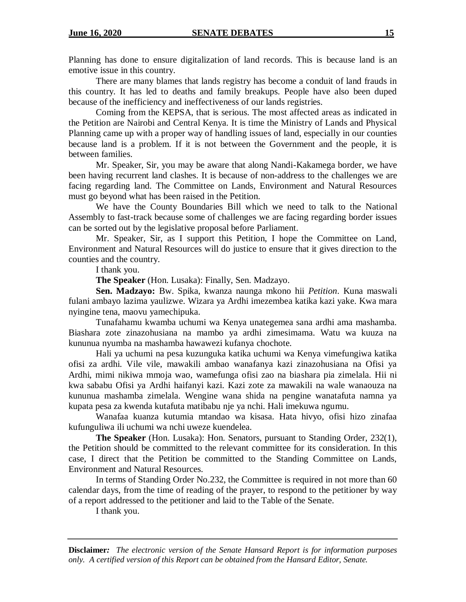Planning has done to ensure digitalization of land records. This is because land is an emotive issue in this country.

There are many blames that lands registry has become a conduit of land frauds in this country. It has led to deaths and family breakups. People have also been duped because of the inefficiency and ineffectiveness of our lands registries.

Coming from the KEPSA, that is serious. The most affected areas as indicated in the Petition are Nairobi and Central Kenya. It is time the Ministry of Lands and Physical Planning came up with a proper way of handling issues of land, especially in our counties because land is a problem. If it is not between the Government and the people, it is between families.

Mr. Speaker, Sir, you may be aware that along Nandi-Kakamega border, we have been having recurrent land clashes. It is because of non-address to the challenges we are facing regarding land. The Committee on Lands, Environment and Natural Resources must go beyond what has been raised in the Petition.

We have the County Boundaries Bill which we need to talk to the National Assembly to fast-track because some of challenges we are facing regarding border issues can be sorted out by the legislative proposal before Parliament.

Mr. Speaker, Sir, as I support this Petition, I hope the Committee on Land, Environment and Natural Resources will do justice to ensure that it gives direction to the counties and the country.

I thank you.

**The Speaker** (Hon. Lusaka): Finally, Sen. Madzayo.

**Sen. Madzayo:** Bw. Spika, kwanza naunga mkono hii *Petition*. Kuna maswali fulani ambayo lazima yaulizwe. Wizara ya Ardhi imezembea katika kazi yake. Kwa mara nyingine tena, maovu yamechipuka.

Tunafahamu kwamba uchumi wa Kenya unategemea sana ardhi ama mashamba. Biashara zote zinazohusiana na mambo ya ardhi zimesimama. Watu wa kuuza na kununua nyumba na mashamba hawawezi kufanya chochote.

Hali ya uchumi na pesa kuzunguka katika uchumi wa Kenya vimefungiwa katika ofisi za ardhi. Vile vile, mawakili ambao wanafanya kazi zinazohusiana na Ofisi ya Ardhi, mimi nikiwa mmoja wao, wamefunga ofisi zao na biashara pia zimelala. Hii ni kwa sababu Ofisi ya Ardhi haifanyi kazi. Kazi zote za mawakili na wale wanaouza na kununua mashamba zimelala. Wengine wana shida na pengine wanatafuta namna ya kupata pesa za kwenda kutafuta matibabu nje ya nchi. Hali imekuwa ngumu.

Wanafaa kuanza kutumia mtandao wa kisasa. Hata hivyo, ofisi hizo zinafaa kufunguliwa ili uchumi wa nchi uweze kuendelea.

**The Speaker** (Hon. Lusaka): Hon. Senators, pursuant to Standing Order, 232(1), the Petition should be committed to the relevant committee for its consideration. In this case, I direct that the Petition be committed to the Standing Committee on Lands, Environment and Natural Resources.

In terms of Standing Order No.232, the Committee is required in not more than 60 calendar days, from the time of reading of the prayer, to respond to the petitioner by way of a report addressed to the petitioner and laid to the Table of the Senate.

I thank you.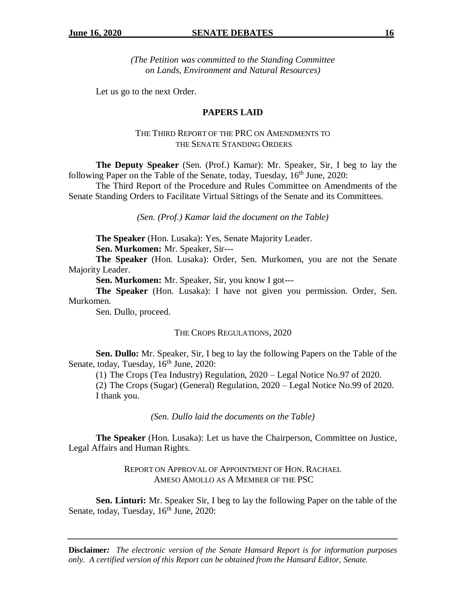*(The Petition was committed to the Standing Committee on Lands, Environment and Natural Resources)*

Let us go to the next Order.

## **PAPERS LAID**

## THE THIRD REPORT OF THE PRC ON AMENDMENTS TO THE SENATE STANDING ORDERS

**The Deputy Speaker** (Sen. (Prof.) Kamar): Mr. Speaker, Sir, I beg to lay the following Paper on the Table of the Senate, today, Tuesday,  $16<sup>th</sup>$  June, 2020:

The Third Report of the Procedure and Rules Committee on Amendments of the Senate Standing Orders to Facilitate Virtual Sittings of the Senate and its Committees.

*(Sen. (Prof.) Kamar laid the document on the Table)*

**The Speaker** (Hon. Lusaka): Yes, Senate Majority Leader.

**Sen. Murkomen:** Mr. Speaker, Sir---

**The Speaker** (Hon. Lusaka): Order, Sen. Murkomen, you are not the Senate Majority Leader.

**Sen. Murkomen:** Mr. Speaker, Sir, you know I got---

**The Speaker** (Hon. Lusaka): I have not given you permission. Order, Sen. Murkomen.

Sen. Dullo, proceed.

#### THE CROPS REGULATIONS, 2020

**Sen. Dullo:** Mr. Speaker, Sir, I beg to lay the following Papers on the Table of the Senate, today, Tuesday,  $16<sup>th</sup>$  June, 2020:

(1) The Crops (Tea Industry) Regulation, 2020 – Legal Notice No.97 of 2020.

(2) The Crops (Sugar) (General) Regulation, 2020 – Legal Notice No.99 of 2020. I thank you.

*(Sen. Dullo laid the documents on the Table)*

**The Speaker** (Hon. Lusaka): Let us have the Chairperson, Committee on Justice, Legal Affairs and Human Rights.

> REPORT ON APPROVAL OF APPOINTMENT OF HON. RACHAEL AMESO AMOLLO AS A MEMBER OF THE PSC

**Sen. Linturi:** Mr. Speaker Sir, I beg to lay the following Paper on the table of the Senate, today, Tuesday, 16<sup>th</sup> June, 2020: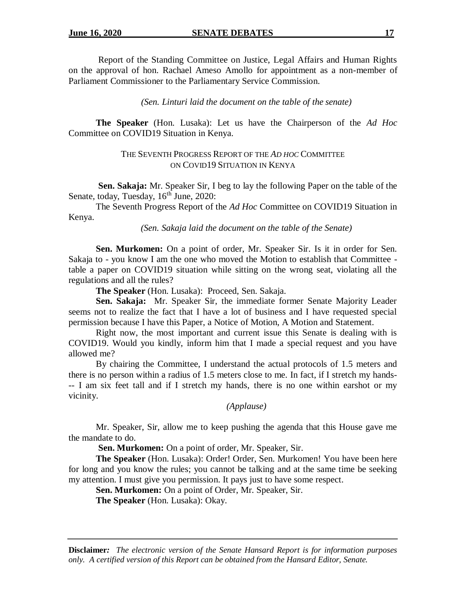Report of the Standing Committee on Justice, Legal Affairs and Human Rights on the approval of hon. Rachael Ameso Amollo for appointment as a non-member of Parliament Commissioner to the Parliamentary Service Commission.

### *(Sen. Linturi laid the document on the table of the senate)*

**The Speaker** (Hon. Lusaka): Let us have the Chairperson of the *Ad Hoc*  Committee on COVID19 Situation in Kenya.

## THE SEVENTH PROGRESS REPORT OF THE *AD HOC* COMMITTEE ON COVID19 SITUATION IN KENYA

**Sen. Sakaja:** Mr. Speaker Sir, I beg to lay the following Paper on the table of the Senate, today, Tuesday, 16<sup>th</sup> June, 2020:

The Seventh Progress Report of the *Ad Hoc* Committee on COVID19 Situation in Kenya.

*(Sen. Sakaja laid the document on the table of the Senate)*

**Sen. Murkomen:** On a point of order, Mr. Speaker Sir. Is it in order for Sen. Sakaja to - you know I am the one who moved the Motion to establish that Committee table a paper on COVID19 situation while sitting on the wrong seat, violating all the regulations and all the rules?

**The Speaker** (Hon. Lusaka): Proceed, Sen. Sakaja.

**Sen. Sakaja:** Mr. Speaker Sir, the immediate former Senate Majority Leader seems not to realize the fact that I have a lot of business and I have requested special permission because I have this Paper, a Notice of Motion, A Motion and Statement.

Right now, the most important and current issue this Senate is dealing with is COVID19. Would you kindly, inform him that I made a special request and you have allowed me?

By chairing the Committee, I understand the actual protocols of 1.5 meters and there is no person within a radius of 1.5 meters close to me. In fact, if I stretch my hands- -- I am six feet tall and if I stretch my hands, there is no one within earshot or my vicinity.

## *(Applause)*

Mr. Speaker, Sir, allow me to keep pushing the agenda that this House gave me the mandate to do.

**Sen. Murkomen:** On a point of order, Mr. Speaker, Sir.

**The Speaker** (Hon. Lusaka): Order! Order, Sen. Murkomen! You have been here for long and you know the rules; you cannot be talking and at the same time be seeking my attention. I must give you permission. It pays just to have some respect.

**Sen. Murkomen:** On a point of Order, Mr. Speaker, Sir.

**The Speaker** (Hon. Lusaka): Okay.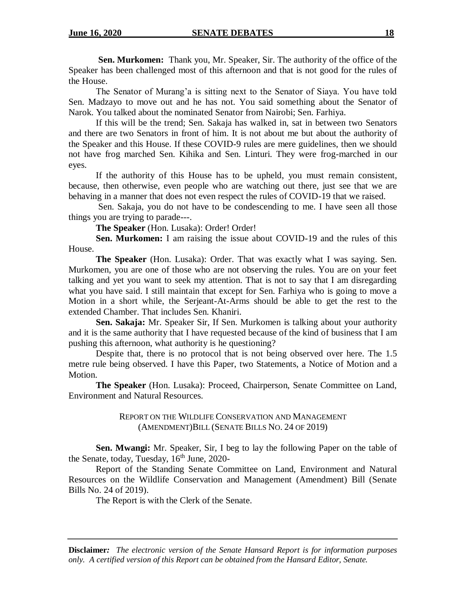**Sen. Murkomen:** Thank you, Mr. Speaker, Sir. The authority of the office of the Speaker has been challenged most of this afternoon and that is not good for the rules of the House.

The Senator of Murang'a is sitting next to the Senator of Siaya. You have told Sen. Madzayo to move out and he has not. You said something about the Senator of Narok. You talked about the nominated Senator from Nairobi; Sen. Farhiya.

If this will be the trend; Sen. Sakaja has walked in, sat in between two Senators and there are two Senators in front of him. It is not about me but about the authority of the Speaker and this House. If these COVID-9 rules are mere guidelines, then we should not have frog marched Sen. Kihika and Sen. Linturi. They were frog-marched in our eyes.

If the authority of this House has to be upheld, you must remain consistent, because, then otherwise, even people who are watching out there, just see that we are behaving in a manner that does not even respect the rules of COVID-19 that we raised.

Sen. Sakaja, you do not have to be condescending to me. I have seen all those things you are trying to parade---.

**The Speaker** (Hon. Lusaka): Order! Order!

**Sen. Murkomen:** I am raising the issue about COVID-19 and the rules of this House.

**The Speaker** (Hon. Lusaka): Order. That was exactly what I was saying. Sen. Murkomen, you are one of those who are not observing the rules. You are on your feet talking and yet you want to seek my attention. That is not to say that I am disregarding what you have said. I still maintain that except for Sen. Farhiya who is going to move a Motion in a short while, the Serjeant-At-Arms should be able to get the rest to the extended Chamber. That includes Sen. Khaniri.

**Sen. Sakaja:** Mr. Speaker Sir, If Sen. Murkomen is talking about your authority and it is the same authority that I have requested because of the kind of business that I am pushing this afternoon, what authority is he questioning?

Despite that, there is no protocol that is not being observed over here. The 1.5 metre rule being observed. I have this Paper, two Statements, a Notice of Motion and a Motion.

**The Speaker** (Hon. Lusaka): Proceed, Chairperson, Senate Committee on Land, Environment and Natural Resources.

> REPORT ON THE WILDLIFE CONSERVATION AND MANAGEMENT (AMENDMENT)BILL (SENATE BILLS NO. 24 OF 2019)

**Sen. Mwangi:** Mr. Speaker, Sir, I beg to lay the following Paper on the table of the Senate, today, Tuesday,  $16<sup>th</sup>$  June, 2020-

Report of the Standing Senate Committee on Land, Environment and Natural Resources on the Wildlife Conservation and Management (Amendment) Bill (Senate Bills No. 24 of 2019).

The Report is with the Clerk of the Senate.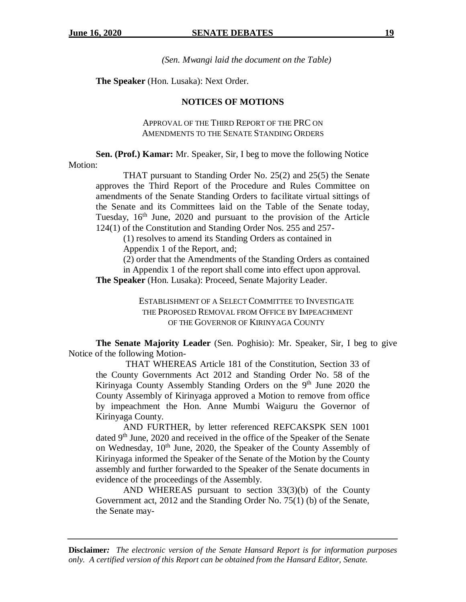*(Sen. Mwangi laid the document on the Table)*

**The Speaker** (Hon. Lusaka): Next Order.

#### **NOTICES OF MOTIONS**

APPROVAL OF THE THIRD REPORT OF THE PRC ON AMENDMENTS TO THE SENATE STANDING ORDERS

**Sen. (Prof.) Kamar:** Mr. Speaker, Sir, I beg to move the following Notice Motion:

THAT pursuant to Standing Order No. 25(2) and 25(5) the Senate approves the Third Report of the Procedure and Rules Committee on amendments of the Senate Standing Orders to facilitate virtual sittings of the Senate and its Committees laid on the Table of the Senate today, Tuesday,  $16<sup>th</sup>$  June, 2020 and pursuant to the provision of the Article 124(1) of the Constitution and Standing Order Nos. 255 and 257-

(1) resolves to amend its Standing Orders as contained in

Appendix 1 of the Report, and;

(2) order that the Amendments of the Standing Orders as contained in Appendix 1 of the report shall come into effect upon approval.

**The Speaker** (Hon. Lusaka): Proceed, Senate Majority Leader.

ESTABLISHMENT OF A SELECT COMMITTEE TO INVESTIGATE THE PROPOSED REMOVAL FROM OFFICE BY IMPEACHMENT OF THE GOVERNOR OF KIRINYAGA COUNTY

**The Senate Majority Leader** (Sen. Poghisio): Mr. Speaker, Sir, I beg to give Notice of the following Motion-

THAT WHEREAS Article 181 of the Constitution, Section 33 of the County Governments Act 2012 and Standing Order No. 58 of the Kirinyaga County Assembly Standing Orders on the  $9<sup>th</sup>$  June 2020 the County Assembly of Kirinyaga approved a Motion to remove from office by impeachment the Hon. Anne Mumbi Waiguru the Governor of Kirinyaga County.

AND FURTHER, by letter referenced REFCAKSPK SEN 1001 dated 9<sup>th</sup> June, 2020 and received in the office of the Speaker of the Senate on Wednesday, 10<sup>th</sup> June, 2020, the Speaker of the County Assembly of Kirinyaga informed the Speaker of the Senate of the Motion by the County assembly and further forwarded to the Speaker of the Senate documents in evidence of the proceedings of the Assembly.

AND WHEREAS pursuant to section 33(3)(b) of the County Government act, 2012 and the Standing Order No. 75(1) (b) of the Senate, the Senate may-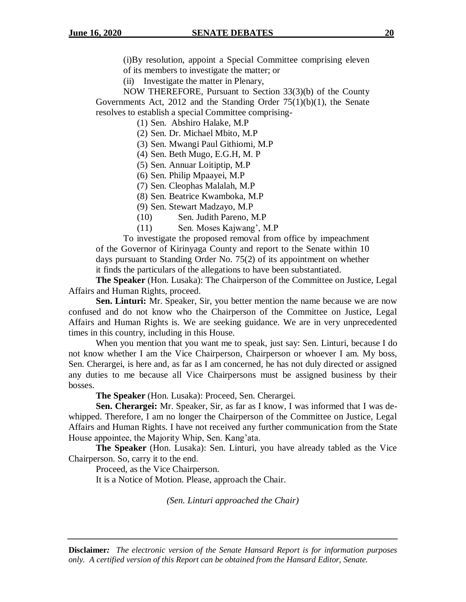(i)By resolution, appoint a Special Committee comprising eleven of its members to investigate the matter; or

(ii) Investigate the matter in Plenary,

NOW THEREFORE, Pursuant to Section 33(3)(b) of the County Governments Act, 2012 and the Standing Order 75(1)(b)(1), the Senate resolves to establish a special Committee comprising-

(1) Sen. Abshiro Halake, M.P

(2) Sen. Dr. Michael Mbito, M.P

(3) Sen. Mwangi Paul Githiomi, M.P

(4) Sen. Beth Mugo, E.G.H, M. P

(5) Sen. Annuar Loitiptip, M.P

(6) Sen. Philip Mpaayei, M.P

(7) Sen. Cleophas Malalah, M.P

(8) Sen. Beatrice Kwamboka, M.P

(9) Sen. Stewart Madzayo, M.P

(10) Sen. Judith Pareno, M.P

(11) Sen. Moses Kajwang', M.P

To investigate the proposed removal from office by impeachment of the Governor of Kirinyaga County and report to the Senate within 10 days pursuant to Standing Order No. 75(2) of its appointment on whether it finds the particulars of the allegations to have been substantiated.

**The Speaker** (Hon. Lusaka): The Chairperson of the Committee on Justice, Legal Affairs and Human Rights, proceed.

**Sen. Linturi:** Mr. Speaker, Sir, you better mention the name because we are now confused and do not know who the Chairperson of the Committee on Justice, Legal Affairs and Human Rights is. We are seeking guidance. We are in very unprecedented times in this country, including in this House.

When you mention that you want me to speak, just say: Sen. Linturi, because I do not know whether I am the Vice Chairperson, Chairperson or whoever I am. My boss, Sen. Cherargei, is here and, as far as I am concerned, he has not duly directed or assigned any duties to me because all Vice Chairpersons must be assigned business by their bosses.

**The Speaker** (Hon. Lusaka): Proceed, Sen. Cherargei.

**Sen. Cherargei:** Mr. Speaker, Sir, as far as I know, I was informed that I was dewhipped. Therefore, I am no longer the Chairperson of the Committee on Justice, Legal Affairs and Human Rights. I have not received any further communication from the State House appointee, the Majority Whip, Sen. Kang'ata.

**The Speaker** (Hon. Lusaka): Sen. Linturi, you have already tabled as the Vice Chairperson. So, carry it to the end.

Proceed, as the Vice Chairperson.

It is a Notice of Motion. Please, approach the Chair.

*(Sen. Linturi approached the Chair)*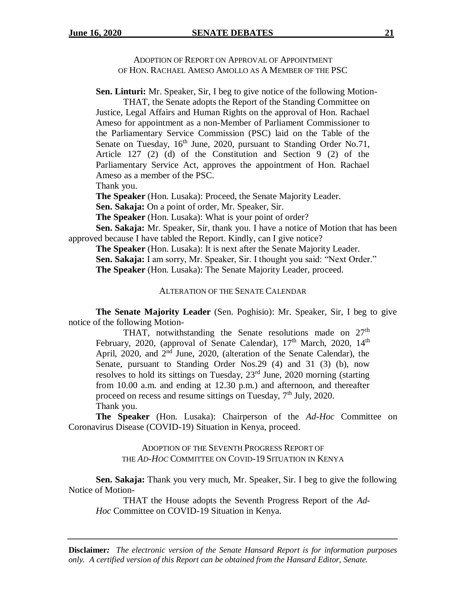ADOPTION OF REPORT ON APPROVAL OF APPOINTMENT OF HON. RACHAEL AMESO AMOLLO AS A MEMBER OF THE PSC

**Sen. Linturi:** Mr. Speaker, Sir, I beg to give notice of the following Motion-

THAT, the Senate adopts the Report of the Standing Committee on Justice, Legal Affairs and Human Rights on the approval of Hon. Rachael Ameso for appointment as a non-Member of Parliament Commissioner to the Parliamentary Service Commission (PSC) laid on the Table of the Senate on Tuesday, 16<sup>th</sup> June, 2020, pursuant to Standing Order No.71, Article 127 (2) (d) of the Constitution and Section 9 (2) of the Parliamentary Service Act, approves the appointment of Hon. Rachael Ameso as a member of the PSC.

Thank you.

**The Speaker** (Hon. Lusaka): Proceed, the Senate Majority Leader.

**Sen. Sakaja:** On a point of order, Mr. Speaker, Sir.

**The Speaker** (Hon. Lusaka): What is your point of order?

**Sen. Sakaja:** Mr. Speaker, Sir, thank you. I have a notice of Motion that has been approved because I have tabled the Report. Kindly, can I give notice?

**The Speaker** (Hon. Lusaka): It is next after the Senate Majority Leader. **Sen. Sakaja:** I am sorry, Mr. Speaker, Sir. I thought you said: "Next Order." **The Speaker** (Hon. Lusaka): The Senate Majority Leader, proceed.

#### ALTERATION OF THE SENATE CALENDAR

**The Senate Majority Leader** (Sen. Poghisio): Mr. Speaker, Sir, I beg to give notice of the following Motion-

THAT, notwithstanding the Senate resolutions made on  $27<sup>th</sup>$ February, 2020, (approval of Senate Calendar), 17<sup>th</sup> March, 2020, 14<sup>th</sup> April,  $2020$ , and  $2<sup>nd</sup>$  June,  $2020$ , (alteration of the Senate Calendar), the Senate, pursuant to Standing Order Nos.29 (4) and 31 (3) (b), now resolves to hold its sittings on Tuesday,  $23<sup>rd</sup>$  June, 2020 morning (starting from 10.00 a.m. and ending at 12.30 p.m.) and afternoon, and thereafter proceed on recess and resume sittings on Tuesday,  $7<sup>th</sup>$  July, 2020. Thank you.

**The Speaker** (Hon. Lusaka): Chairperson of the *Ad*-*Hoc* Committee on Coronavirus Disease (COVID-19) Situation in Kenya, proceed.

> ADOPTION OF THE SEVENTH PROGRESS REPORT OF THE *AD-HOC* COMMITTEE ON COVID-19 SITUATION IN KENYA

**Sen. Sakaja:** Thank you very much, Mr. Speaker, Sir. I beg to give the following Notice of Motion-

THAT the House adopts the Seventh Progress Report of the *Ad-Hoc* Committee on COVID-19 Situation in Kenya.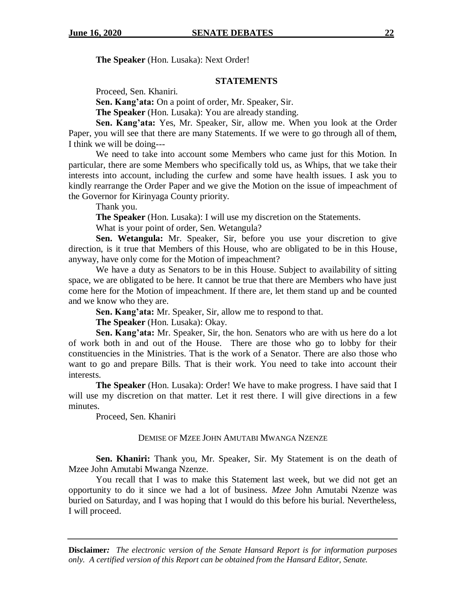**The Speaker** (Hon. Lusaka): Next Order!

### **STATEMENTS**

Proceed, Sen. Khaniri.

**Sen. Kang'ata:** On a point of order, Mr. Speaker, Sir.

**The Speaker** (Hon. Lusaka): You are already standing.

**Sen. Kang'ata:** Yes, Mr. Speaker, Sir, allow me. When you look at the Order Paper, you will see that there are many Statements. If we were to go through all of them, I think we will be doing---

We need to take into account some Members who came just for this Motion. In particular, there are some Members who specifically told us, as Whips, that we take their interests into account, including the curfew and some have health issues. I ask you to kindly rearrange the Order Paper and we give the Motion on the issue of impeachment of the Governor for Kirinyaga County priority.

Thank you.

**The Speaker** (Hon. Lusaka): I will use my discretion on the Statements.

What is your point of order, Sen. Wetangula?

**Sen. Wetangula:** Mr. Speaker, Sir, before you use your discretion to give direction, is it true that Members of this House, who are obligated to be in this House, anyway, have only come for the Motion of impeachment?

We have a duty as Senators to be in this House. Subject to availability of sitting space, we are obligated to be here. It cannot be true that there are Members who have just come here for the Motion of impeachment. If there are, let them stand up and be counted and we know who they are.

**Sen. Kang'ata:** Mr. Speaker, Sir, allow me to respond to that.

**The Speaker** (Hon. Lusaka): Okay.

**Sen. Kang'ata:** Mr. Speaker, Sir, the hon. Senators who are with us here do a lot of work both in and out of the House. There are those who go to lobby for their constituencies in the Ministries. That is the work of a Senator. There are also those who want to go and prepare Bills. That is their work. You need to take into account their interests.

**The Speaker** (Hon. Lusaka): Order! We have to make progress. I have said that I will use my discretion on that matter. Let it rest there. I will give directions in a few minutes.

Proceed, Sen. Khaniri

#### DEMISE OF MZEE JOHN AMUTABI MWANGA NZENZE

**Sen. Khaniri:** Thank you, Mr. Speaker, Sir. My Statement is on the death of Mzee John Amutabi Mwanga Nzenze.

You recall that I was to make this Statement last week, but we did not get an opportunity to do it since we had a lot of business. *Mzee* John Amutabi Nzenze was buried on Saturday, and I was hoping that I would do this before his burial. Nevertheless, I will proceed.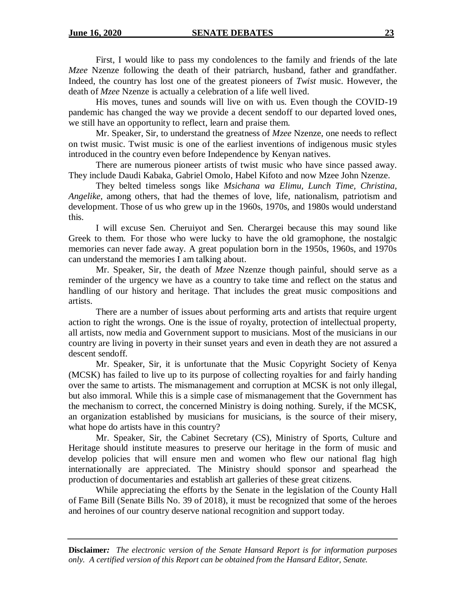First, I would like to pass my condolences to the family and friends of the late *Mzee* Nzenze following the death of their patriarch, husband, father and grandfather. Indeed, the country has lost one of the greatest pioneers of *Twist* music. However, the death of *Mzee* Nzenze is actually a celebration of a life well lived.

His moves, tunes and sounds will live on with us. Even though the COVID-19 pandemic has changed the way we provide a decent sendoff to our departed loved ones, we still have an opportunity to reflect, learn and praise them.

Mr. Speaker, Sir, to understand the greatness of *Mzee* Nzenze, one needs to reflect on twist music. Twist music is one of the earliest inventions of indigenous music styles introduced in the country even before Independence by Kenyan natives.

There are numerous pioneer artists of twist music who have since passed away. They include Daudi Kabaka, Gabriel Omolo, Habel Kifoto and now Mzee John Nzenze.

They belted timeless songs like *Msichana wa Elimu, Lunch Time, Christina, Angelike,* among others, that had the themes of love, life, nationalism, patriotism and development. Those of us who grew up in the 1960s, 1970s, and 1980s would understand this.

I will excuse Sen. Cheruiyot and Sen. Cherargei because this may sound like Greek to them. For those who were lucky to have the old gramophone, the nostalgic memories can never fade away. A great population born in the 1950s, 1960s, and 1970s can understand the memories I am talking about.

Mr. Speaker, Sir, the death of *Mzee* Nzenze though painful, should serve as a reminder of the urgency we have as a country to take time and reflect on the status and handling of our history and heritage. That includes the great music compositions and artists.

There are a number of issues about performing arts and artists that require urgent action to right the wrongs. One is the issue of royalty, protection of intellectual property, all artists, now media and Government support to musicians. Most of the musicians in our country are living in poverty in their sunset years and even in death they are not assured a descent sendoff.

Mr. Speaker, Sir, it is unfortunate that the Music Copyright Society of Kenya (MCSK) has failed to live up to its purpose of collecting royalties for and fairly handing over the same to artists. The mismanagement and corruption at MCSK is not only illegal, but also immoral. While this is a simple case of mismanagement that the Government has the mechanism to correct, the concerned Ministry is doing nothing. Surely, if the MCSK, an organization established by musicians for musicians, is the source of their misery, what hope do artists have in this country?

Mr. Speaker, Sir, the Cabinet Secretary (CS), Ministry of Sports, Culture and Heritage should institute measures to preserve our heritage in the form of music and develop policies that will ensure men and women who flew our national flag high internationally are appreciated. The Ministry should sponsor and spearhead the production of documentaries and establish art galleries of these great citizens.

While appreciating the efforts by the Senate in the legislation of the County Hall of Fame Bill (Senate Bills No. 39 of 2018), it must be recognized that some of the heroes and heroines of our country deserve national recognition and support today.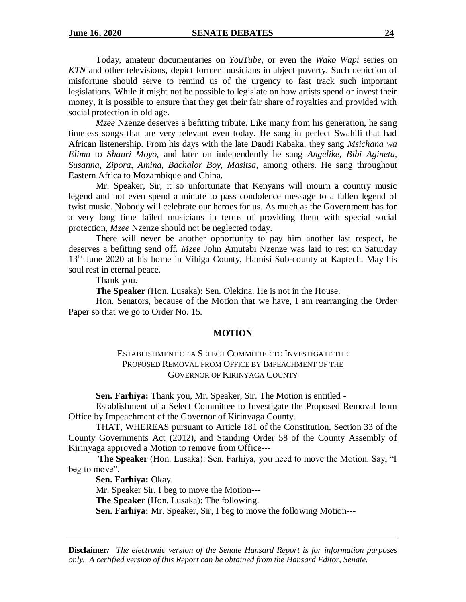Today, amateur documentaries on *YouTube*, or even the *Wako Wapi* series on *KTN* and other televisions, depict former musicians in abject poverty. Such depiction of misfortune should serve to remind us of the urgency to fast track such important legislations. While it might not be possible to legislate on how artists spend or invest their money, it is possible to ensure that they get their fair share of royalties and provided with social protection in old age.

*Mzee* Nzenze deserves a befitting tribute. Like many from his generation, he sang timeless songs that are very relevant even today. He sang in perfect Swahili that had African listenership. From his days with the late Daudi Kabaka, they sang *Msichana wa Elimu* to *Shauri Moyo,* and later on independently he sang *Angelike, Bibi Agineta, Susanna, Zipora, Amina, Bachalor Boy, Masitsa,* among others. He sang throughout Eastern Africa to Mozambique and China.

Mr. Speaker, Sir, it so unfortunate that Kenyans will mourn a country music legend and not even spend a minute to pass condolence message to a fallen legend of twist music. Nobody will celebrate our heroes for us. As much as the Government has for a very long time failed musicians in terms of providing them with special social protection, *Mzee* Nzenze should not be neglected today.

There will never be another opportunity to pay him another last respect, he deserves a befitting send off. *Mzee* John Amutabi Nzenze was laid to rest on Saturday  $13<sup>th</sup>$  June 2020 at his home in Vihiga County, Hamisi Sub-county at Kaptech. May his soul rest in eternal peace.

Thank you.

**The Speaker** (Hon. Lusaka): Sen. Olekina. He is not in the House.

Hon. Senators, because of the Motion that we have, I am rearranging the Order Paper so that we go to Order No. 15.

## **MOTION**

## ESTABLISHMENT OF A SELECT COMMITTEE TO INVESTIGATE THE PROPOSED REMOVAL FROM OFFICE BY IMPEACHMENT OF THE GOVERNOR OF KIRINYAGA COUNTY

**Sen. Farhiya:** Thank you, Mr. Speaker, Sir. The Motion is entitled -

Establishment of a Select Committee to Investigate the Proposed Removal from Office by Impeachment of the Governor of Kirinyaga County.

THAT, WHEREAS pursuant to Article 181 of the Constitution, Section 33 of the County Governments Act (2012), and Standing Order 58 of the County Assembly of Kirinyaga approved a Motion to remove from Office---

**The Speaker** (Hon. Lusaka): Sen. Farhiya, you need to move the Motion. Say, "I beg to move".

**Sen. Farhiya:** Okay.

Mr. Speaker Sir, I beg to move the Motion---

**The Speaker** (Hon. Lusaka): The following.

**Sen. Farhiya:** Mr. Speaker, Sir, I beg to move the following Motion---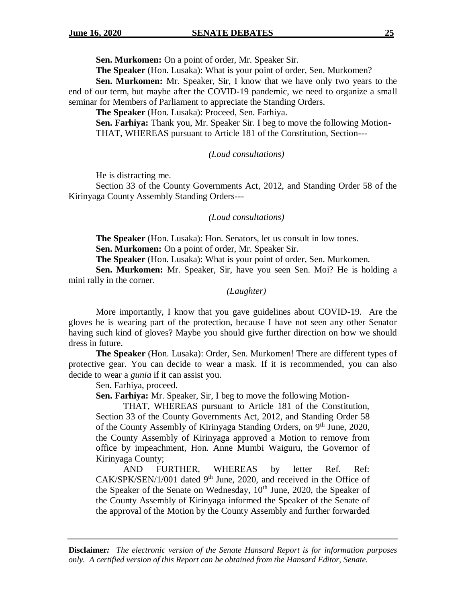**Sen. Murkomen:** On a point of order, Mr. Speaker Sir.

**The Speaker** (Hon. Lusaka): What is your point of order, Sen. Murkomen?

**Sen. Murkomen:** Mr. Speaker, Sir, I know that we have only two years to the end of our term, but maybe after the COVID-19 pandemic, we need to organize a small seminar for Members of Parliament to appreciate the Standing Orders.

**The Speaker** (Hon. Lusaka): Proceed, Sen. Farhiya.

**Sen. Farhiya:** Thank you, Mr. Speaker Sir. I beg to move the following Motion-THAT, WHEREAS pursuant to Article 181 of the Constitution, Section---

### *(Loud consultations)*

He is distracting me.

Section 33 of the County Governments Act, 2012, and Standing Order 58 of the Kirinyaga County Assembly Standing Orders---

### *(Loud consultations)*

**The Speaker** (Hon. Lusaka): Hon. Senators, let us consult in low tones.

**Sen. Murkomen:** On a point of order, Mr. Speaker Sir.

**The Speaker** (Hon. Lusaka): What is your point of order, Sen. Murkomen.

**Sen. Murkomen:** Mr. Speaker, Sir, have you seen Sen. Moi? He is holding a mini rally in the corner.

#### *(Laughter)*

More importantly, I know that you gave guidelines about COVID-19. Are the gloves he is wearing part of the protection, because I have not seen any other Senator having such kind of gloves? Maybe you should give further direction on how we should dress in future.

**The Speaker** (Hon. Lusaka): Order, Sen. Murkomen! There are different types of protective gear. You can decide to wear a mask. If it is recommended, you can also decide to wear a *gunia* if it can assist you.

Sen. Farhiya, proceed.

**Sen. Farhiya:** Mr. Speaker, Sir, I beg to move the following Motion-

THAT, WHEREAS pursuant to Article 181 of the Constitution, Section 33 of the County Governments Act, 2012, and Standing Order 58 of the County Assembly of Kirinyaga Standing Orders, on 9<sup>th</sup> June, 2020, the County Assembly of Kirinyaga approved a Motion to remove from office by impeachment, Hon. Anne Mumbi Waiguru, the Governor of Kirinyaga County;

AND FURTHER, WHEREAS by letter Ref. Ref:  $CAK/SPK/SEN/1/001$  dated 9<sup>th</sup> June, 2020, and received in the Office of the Speaker of the Senate on Wednesday,  $10<sup>th</sup>$  June, 2020, the Speaker of the County Assembly of Kirinyaga informed the Speaker of the Senate of the approval of the Motion by the County Assembly and further forwarded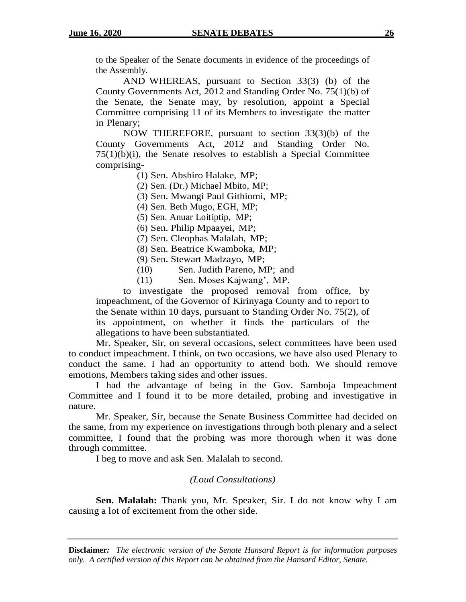to the Speaker of the Senate documents in evidence of the proceedings of the Assembly.

AND WHEREAS, pursuant to Section 33(3) (b) of the County Governments Act, 2012 and Standing Order No. 75(1)(b) of the Senate, the Senate may, by resolution, appoint a Special Committee comprising 11 of its Members to investigate the matter in Plenary;

NOW THEREFORE, pursuant to section 33(3)(b) of the County Governments Act, 2012 and Standing Order No.  $75(1)(b)(i)$ , the Senate resolves to establish a Special Committee comprising-

(1) Sen. Abshiro Halake, MP;

(2) Sen. (Dr.) Michael Mbito, MP;

(3) Sen. Mwangi Paul Githiomi, MP;

(4) Sen. Beth Mugo, EGH, MP;

(5) Sen. Anuar Loitiptip, MP;

(6) Sen. Philip Mpaayei, MP;

(7) Sen. Cleophas Malalah, MP;

(8) Sen. Beatrice Kwamboka, MP;

(9) Sen. Stewart Madzayo, MP;

(10) Sen. Judith Pareno, MP; and

(11) Sen. Moses Kajwang', MP.

to investigate the proposed removal from office, by impeachment, of the Governor of Kirinyaga County and to report to the Senate within 10 days, pursuant to Standing Order No. 75(2), of its appointment, on whether it finds the particulars of the allegations to have been substantiated.

Mr. Speaker, Sir, on several occasions, select committees have been used to conduct impeachment. I think, on two occasions, we have also used Plenary to conduct the same. I had an opportunity to attend both. We should remove emotions, Members taking sides and other issues.

I had the advantage of being in the Gov. Samboja Impeachment Committee and I found it to be more detailed, probing and investigative in nature.

Mr. Speaker, Sir, because the Senate Business Committee had decided on the same, from my experience on investigations through both plenary and a select committee, I found that the probing was more thorough when it was done through committee.

I beg to move and ask Sen. Malalah to second.

## *(Loud Consultations)*

**Sen. Malalah:** Thank you, Mr. Speaker, Sir. I do not know why I am causing a lot of excitement from the other side.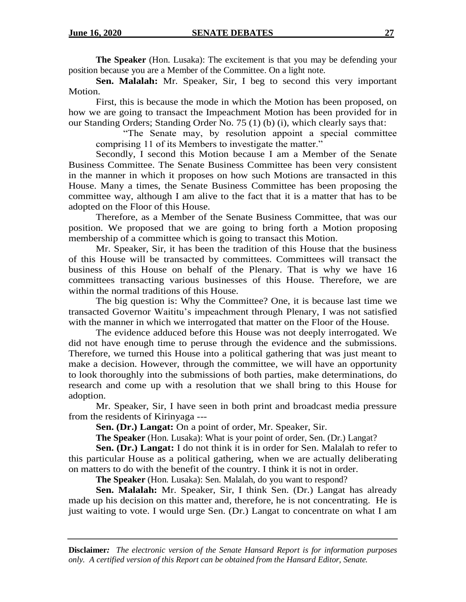**The Speaker** (Hon. Lusaka): The excitement is that you may be defending your position because you are a Member of the Committee. On a light note.

**Sen. Malalah:** Mr. Speaker, Sir, I beg to second this very important Motion.

First, this is because the mode in which the Motion has been proposed, on how we are going to transact the Impeachment Motion has been provided for in our Standing Orders; Standing Order No. 75 (1) (b) (i), which clearly says that:

"The Senate may, by resolution appoint a special committee comprising 11 of its Members to investigate the matter."

Secondly, I second this Motion because I am a Member of the Senate Business Committee. The Senate Business Committee has been very consistent in the manner in which it proposes on how such Motions are transacted in this House. Many a times, the Senate Business Committee has been proposing the committee way, although I am alive to the fact that it is a matter that has to be adopted on the Floor of this House.

Therefore, as a Member of the Senate Business Committee, that was our position. We proposed that we are going to bring forth a Motion proposing membership of a committee which is going to transact this Motion.

Mr. Speaker, Sir, it has been the tradition of this House that the business of this House will be transacted by committees. Committees will transact the business of this House on behalf of the Plenary. That is why we have 16 committees transacting various businesses of this House. Therefore, we are within the normal traditions of this House.

The big question is: Why the Committee? One, it is because last time we transacted Governor Waititu's impeachment through Plenary, I was not satisfied with the manner in which we interrogated that matter on the Floor of the House.

The evidence adduced before this House was not deeply interrogated. We did not have enough time to peruse through the evidence and the submissions. Therefore, we turned this House into a political gathering that was just meant to make a decision. However, through the committee, we will have an opportunity to look thoroughly into the submissions of both parties, make determinations, do research and come up with a resolution that we shall bring to this House for adoption.

Mr. Speaker, Sir, I have seen in both print and broadcast media pressure from the residents of Kirinyaga ---

**Sen. (Dr.) Langat:** On a point of order, Mr. Speaker, Sir.

**The Speaker** (Hon. Lusaka): What is your point of order, Sen. (Dr.) Langat?

**Sen. (Dr.) Langat:** I do not think it is in order for Sen. Malalah to refer to this particular House as a political gathering, when we are actually deliberating on matters to do with the benefit of the country. I think it is not in order.

**The Speaker** (Hon. Lusaka): Sen. Malalah, do you want to respond?

**Sen. Malalah:** Mr. Speaker, Sir, I think Sen. (Dr.) Langat has already made up his decision on this matter and, therefore, he is not concentrating. He is just waiting to vote. I would urge Sen. (Dr.) Langat to concentrate on what I am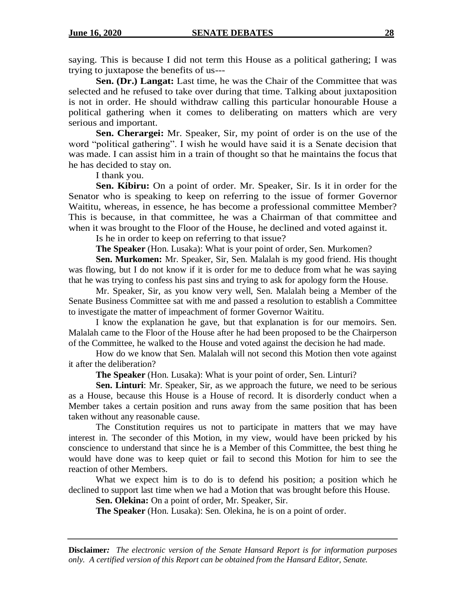saying. This is because I did not term this House as a political gathering; I was trying to juxtapose the benefits of us---

**Sen. (Dr.) Langat:** Last time, he was the Chair of the Committee that was selected and he refused to take over during that time. Talking about juxtaposition is not in order. He should withdraw calling this particular honourable House a political gathering when it comes to deliberating on matters which are very serious and important.

**Sen. Cherargei:** Mr. Speaker, Sir, my point of order is on the use of the word "political gathering". I wish he would have said it is a Senate decision that was made. I can assist him in a train of thought so that he maintains the focus that he has decided to stay on.

I thank you.

**Sen. Kibiru:** On a point of order. Mr. Speaker, Sir. Is it in order for the Senator who is speaking to keep on referring to the issue of former Governor Waititu, whereas, in essence, he has become a professional committee Member? This is because, in that committee, he was a Chairman of that committee and when it was brought to the Floor of the House, he declined and voted against it.

Is he in order to keep on referring to that issue?

**The Speaker** (Hon. Lusaka): What is your point of order, Sen. Murkomen?

**Sen. Murkomen:** Mr. Speaker, Sir, Sen. Malalah is my good friend. His thought was flowing, but I do not know if it is order for me to deduce from what he was saying that he was trying to confess his past sins and trying to ask for apology form the House.

Mr. Speaker, Sir, as you know very well, Sen. Malalah being a Member of the Senate Business Committee sat with me and passed a resolution to establish a Committee to investigate the matter of impeachment of former Governor Waititu.

I know the explanation he gave, but that explanation is for our memoirs. Sen. Malalah came to the Floor of the House after he had been proposed to be the Chairperson of the Committee, he walked to the House and voted against the decision he had made.

How do we know that Sen. Malalah will not second this Motion then vote against it after the deliberation?

**The Speaker** (Hon. Lusaka): What is your point of order, Sen. Linturi?

**Sen. Linturi**: Mr. Speaker, Sir, as we approach the future, we need to be serious as a House, because this House is a House of record. It is disorderly conduct when a Member takes a certain position and runs away from the same position that has been taken without any reasonable cause.

The Constitution requires us not to participate in matters that we may have interest in. The seconder of this Motion, in my view, would have been pricked by his conscience to understand that since he is a Member of this Committee, the best thing he would have done was to keep quiet or fail to second this Motion for him to see the reaction of other Members.

What we expect him is to do is to defend his position; a position which he declined to support last time when we had a Motion that was brought before this House.

**Sen. Olekina:** On a point of order, Mr. Speaker, Sir.

**The Speaker** (Hon. Lusaka): Sen. Olekina, he is on a point of order.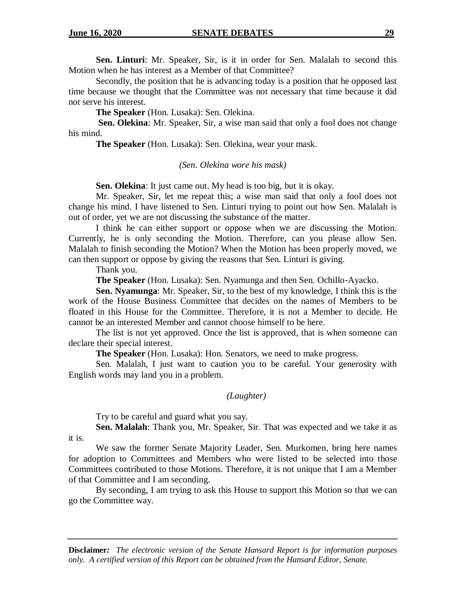**Sen. Linturi**: Mr. Speaker, Sir, is it in order for Sen. Malalah to second this Motion when he has interest as a Member of that Committee?

Secondly, the position that he is advancing today is a position that he opposed last time because we thought that the Committee was not necessary that time because it did not serve his interest.

**The Speaker** (Hon. Lusaka): Sen. Olekina.

**Sen. Olekina**: Mr. Speaker, Sir, a wise man said that only a fool does not change his mind.

**The Speaker** (Hon. Lusaka): Sen. Olekina, wear your mask.

#### *(Sen. Olekina wore his mask)*

**Sen. Olekina**: It just came out. My head is too big, but it is okay.

Mr. Speaker, Sir, let me repeat this; a wise man said that only a fool does not change his mind. I have listened to Sen. Linturi trying to point out how Sen. Malalah is out of order, yet we are not discussing the substance of the matter.

I think he can either support or oppose when we are discussing the Motion. Currently, he is only seconding the Motion. Therefore, can you please allow Sen. Malalah to finish seconding the Motion? When the Motion has been properly moved, we can then support or oppose by giving the reasons that Sen. Linturi is giving.

Thank you.

**The Speaker** (Hon. Lusaka): Sen. Nyamunga and then Sen. Ochillo-Ayacko.

**Sen. Nyamunga**: Mr. Speaker, Sir, to the best of my knowledge, I think this is the work of the House Business Committee that decides on the names of Members to be floated in this House for the Committee. Therefore, it is not a Member to decide. He cannot be an interested Member and cannot choose himself to be here.

The list is not yet approved. Once the list is approved, that is when someone can declare their special interest.

**The Speaker** (Hon. Lusaka): Hon. Senators, we need to make progress.

Sen. Malalah, I just want to caution you to be careful. Your generosity with English words may land you in a problem.

#### *(Laughter)*

Try to be careful and guard what you say.

**Sen. Malalah**: Thank you, Mr. Speaker, Sir. That was expected and we take it as it is.

We saw the former Senate Majority Leader, Sen. Murkomen, bring here names for adoption to Committees and Members who were listed to be selected into those Committees contributed to those Motions. Therefore, it is not unique that I am a Member of that Committee and I am seconding.

By seconding, I am trying to ask this House to support this Motion so that we can go the Committee way.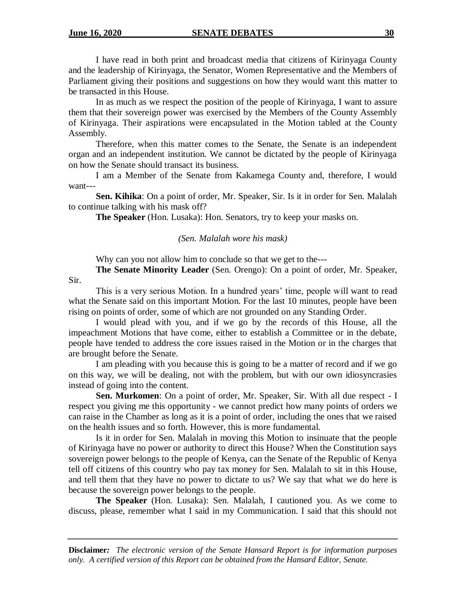I have read in both print and broadcast media that citizens of Kirinyaga County and the leadership of Kirinyaga, the Senator, Women Representative and the Members of Parliament giving their positions and suggestions on how they would want this matter to be transacted in this House.

In as much as we respect the position of the people of Kirinyaga, I want to assure them that their sovereign power was exercised by the Members of the County Assembly of Kirinyaga. Their aspirations were encapsulated in the Motion tabled at the County Assembly.

Therefore, when this matter comes to the Senate, the Senate is an independent organ and an independent institution. We cannot be dictated by the people of Kirinyaga on how the Senate should transact its business.

I am a Member of the Senate from Kakamega County and, therefore, I would want---

**Sen. Kihika**: On a point of order, Mr. Speaker, Sir. Is it in order for Sen. Malalah to continue talking with his mask off?

**The Speaker** (Hon. Lusaka): Hon. Senators, try to keep your masks on.

## *(Sen. Malalah wore his mask)*

Why can you not allow him to conclude so that we get to the---

**The Senate Minority Leader** (Sen. Orengo): On a point of order, Mr. Speaker, Sir.

This is a very serious Motion. In a hundred years' time, people will want to read what the Senate said on this important Motion. For the last 10 minutes, people have been rising on points of order, some of which are not grounded on any Standing Order.

I would plead with you, and if we go by the records of this House, all the impeachment Motions that have come, either to establish a Committee or in the debate, people have tended to address the core issues raised in the Motion or in the charges that are brought before the Senate.

I am pleading with you because this is going to be a matter of record and if we go on this way, we will be dealing, not with the problem, but with our own idiosyncrasies instead of going into the content.

**Sen. Murkomen**: On a point of order, Mr. Speaker, Sir. With all due respect - I respect you giving me this opportunity - we cannot predict how many points of orders we can raise in the Chamber as long as it is a point of order, including the ones that we raised on the health issues and so forth. However, this is more fundamental.

Is it in order for Sen. Malalah in moving this Motion to insinuate that the people of Kirinyaga have no power or authority to direct this House? When the Constitution says sovereign power belongs to the people of Kenya, can the Senate of the Republic of Kenya tell off citizens of this country who pay tax money for Sen. Malalah to sit in this House, and tell them that they have no power to dictate to us? We say that what we do here is because the sovereign power belongs to the people.

**The Speaker** (Hon. Lusaka): Sen. Malalah, I cautioned you. As we come to discuss, please, remember what I said in my Communication. I said that this should not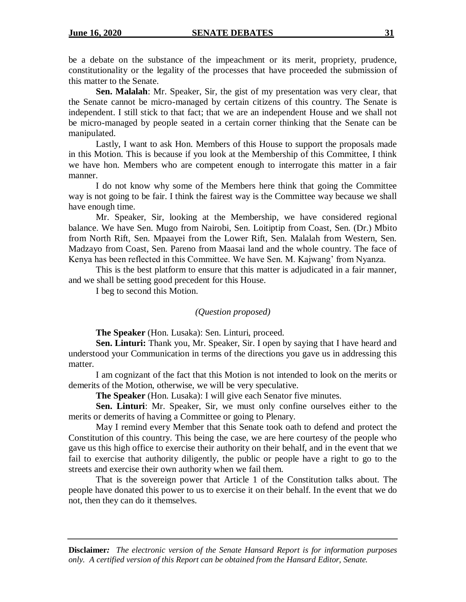be a debate on the substance of the impeachment or its merit, propriety, prudence, constitutionality or the legality of the processes that have proceeded the submission of this matter to the Senate.

**Sen. Malalah**: Mr. Speaker, Sir, the gist of my presentation was very clear, that the Senate cannot be micro-managed by certain citizens of this country. The Senate is independent. I still stick to that fact; that we are an independent House and we shall not be micro-managed by people seated in a certain corner thinking that the Senate can be manipulated.

Lastly, I want to ask Hon. Members of this House to support the proposals made in this Motion. This is because if you look at the Membership of this Committee, I think we have hon. Members who are competent enough to interrogate this matter in a fair manner.

I do not know why some of the Members here think that going the Committee way is not going to be fair. I think the fairest way is the Committee way because we shall have enough time.

Mr. Speaker, Sir, looking at the Membership, we have considered regional balance. We have Sen. Mugo from Nairobi, Sen. Loitiptip from Coast, Sen. (Dr.) Mbito from North Rift, Sen. Mpaayei from the Lower Rift, Sen. Malalah from Western, Sen. Madzayo from Coast, Sen. Pareno from Maasai land and the whole country. The face of Kenya has been reflected in this Committee. We have Sen. M. Kajwang' from Nyanza.

This is the best platform to ensure that this matter is adjudicated in a fair manner, and we shall be setting good precedent for this House.

I beg to second this Motion.

## *(Question proposed)*

**The Speaker** (Hon. Lusaka): Sen. Linturi, proceed.

**Sen. Linturi:** Thank you, Mr. Speaker, Sir. I open by saying that I have heard and understood your Communication in terms of the directions you gave us in addressing this matter.

I am cognizant of the fact that this Motion is not intended to look on the merits or demerits of the Motion, otherwise, we will be very speculative.

**The Speaker** (Hon. Lusaka): I will give each Senator five minutes.

**Sen. Linturi**: Mr. Speaker, Sir, we must only confine ourselves either to the merits or demerits of having a Committee or going to Plenary.

May I remind every Member that this Senate took oath to defend and protect the Constitution of this country. This being the case, we are here courtesy of the people who gave us this high office to exercise their authority on their behalf, and in the event that we fail to exercise that authority diligently, the public or people have a right to go to the streets and exercise their own authority when we fail them.

That is the sovereign power that Article 1 of the Constitution talks about. The people have donated this power to us to exercise it on their behalf. In the event that we do not, then they can do it themselves.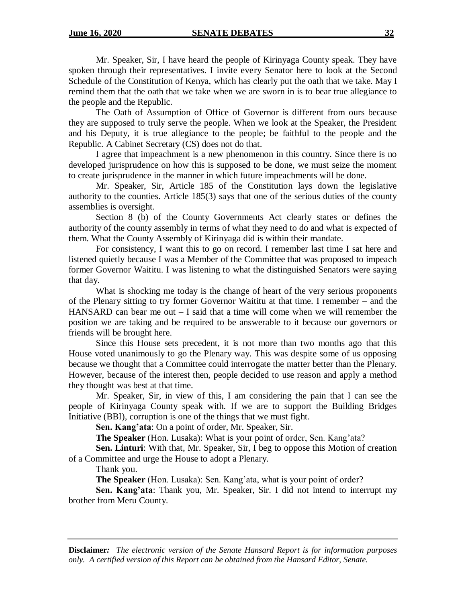Mr. Speaker, Sir, I have heard the people of Kirinyaga County speak. They have spoken through their representatives. I invite every Senator here to look at the Second Schedule of the Constitution of Kenya, which has clearly put the oath that we take. May I remind them that the oath that we take when we are sworn in is to bear true allegiance to the people and the Republic.

The Oath of Assumption of Office of Governor is different from ours because they are supposed to truly serve the people. When we look at the Speaker, the President and his Deputy, it is true allegiance to the people; be faithful to the people and the Republic. A Cabinet Secretary (CS) does not do that.

I agree that impeachment is a new phenomenon in this country. Since there is no developed jurisprudence on how this is supposed to be done, we must seize the moment to create jurisprudence in the manner in which future impeachments will be done.

Mr. Speaker, Sir, Article 185 of the Constitution lays down the legislative authority to the counties. Article 185(3) says that one of the serious duties of the county assemblies is oversight.

Section 8 (b) of the County Governments Act clearly states or defines the authority of the county assembly in terms of what they need to do and what is expected of them. What the County Assembly of Kirinyaga did is within their mandate.

For consistency, I want this to go on record. I remember last time I sat here and listened quietly because I was a Member of the Committee that was proposed to impeach former Governor Waititu. I was listening to what the distinguished Senators were saying that day.

What is shocking me today is the change of heart of the very serious proponents of the Plenary sitting to try former Governor Waititu at that time. I remember – and the HANSARD can bear me out  $-1$  said that a time will come when we will remember the position we are taking and be required to be answerable to it because our governors or friends will be brought here.

Since this House sets precedent, it is not more than two months ago that this House voted unanimously to go the Plenary way. This was despite some of us opposing because we thought that a Committee could interrogate the matter better than the Plenary. However, because of the interest then, people decided to use reason and apply a method they thought was best at that time.

Mr. Speaker, Sir, in view of this, I am considering the pain that I can see the people of Kirinyaga County speak with. If we are to support the Building Bridges Initiative (BBI), corruption is one of the things that we must fight.

**Sen. Kang'ata**: On a point of order, Mr. Speaker, Sir.

**The Speaker** (Hon. Lusaka): What is your point of order, Sen. Kang'ata?

**Sen. Linturi**: With that, Mr. Speaker, Sir, I beg to oppose this Motion of creation of a Committee and urge the House to adopt a Plenary.

Thank you.

**The Speaker** (Hon. Lusaka): Sen. Kang'ata, what is your point of order?

**Sen. Kang'ata**: Thank you, Mr. Speaker, Sir. I did not intend to interrupt my brother from Meru County.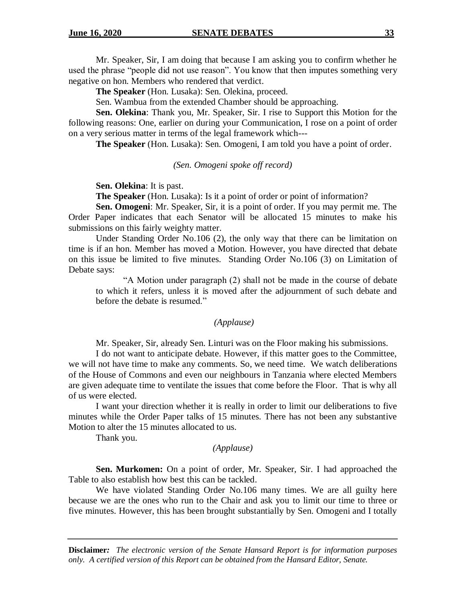Mr. Speaker, Sir, I am doing that because I am asking you to confirm whether he used the phrase "people did not use reason". You know that then imputes something very negative on hon. Members who rendered that verdict.

**The Speaker** (Hon. Lusaka): Sen. Olekina, proceed.

Sen. Wambua from the extended Chamber should be approaching.

**Sen. Olekina**: Thank you, Mr. Speaker, Sir. I rise to Support this Motion for the following reasons: One, earlier on during your Communication, I rose on a point of order on a very serious matter in terms of the legal framework which---

**The Speaker** (Hon. Lusaka): Sen. Omogeni, I am told you have a point of order.

#### *(Sen. Omogeni spoke off record)*

**Sen. Olekina**: It is past.

**The Speaker** (Hon. Lusaka): Is it a point of order or point of information?

**Sen. Omogeni**: Mr. Speaker, Sir, it is a point of order. If you may permit me. The Order Paper indicates that each Senator will be allocated 15 minutes to make his submissions on this fairly weighty matter.

Under Standing Order No.106 (2), the only way that there can be limitation on time is if an hon. Member has moved a Motion. However, you have directed that debate on this issue be limited to five minutes. Standing Order No.106 (3) on Limitation of Debate says:

"A Motion under paragraph (2) shall not be made in the course of debate to which it refers, unless it is moved after the adjournment of such debate and before the debate is resumed."

## *(Applause)*

Mr. Speaker, Sir, already Sen. Linturi was on the Floor making his submissions.

I do not want to anticipate debate. However, if this matter goes to the Committee, we will not have time to make any comments. So, we need time. We watch deliberations of the House of Commons and even our neighbours in Tanzania where elected Members are given adequate time to ventilate the issues that come before the Floor. That is why all of us were elected.

I want your direction whether it is really in order to limit our deliberations to five minutes while the Order Paper talks of 15 minutes. There has not been any substantive Motion to alter the 15 minutes allocated to us.

Thank you.

## *(Applause)*

**Sen. Murkomen:** On a point of order, Mr. Speaker, Sir. I had approached the Table to also establish how best this can be tackled.

We have violated Standing Order No.106 many times. We are all guilty here because we are the ones who run to the Chair and ask you to limit our time to three or five minutes. However, this has been brought substantially by Sen. Omogeni and I totally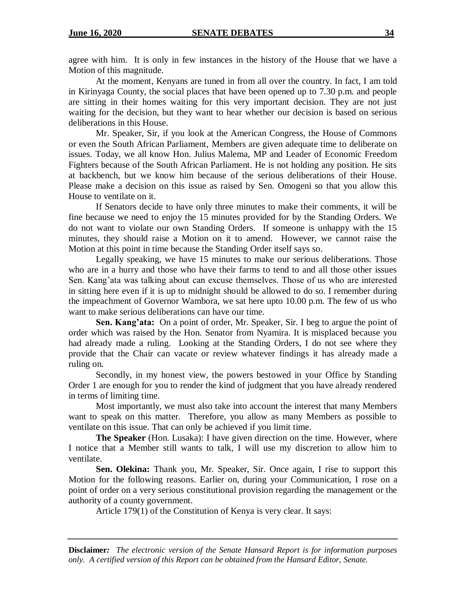agree with him. It is only in few instances in the history of the House that we have a Motion of this magnitude.

At the moment, Kenyans are tuned in from all over the country. In fact, I am told in Kirinyaga County, the social places that have been opened up to 7.30 p.m. and people are sitting in their homes waiting for this very important decision. They are not just waiting for the decision, but they want to hear whether our decision is based on serious deliberations in this House.

Mr. Speaker, Sir, if you look at the American Congress, the House of Commons or even the South African Parliament, Members are given adequate time to deliberate on issues. Today, we all know Hon. Julius Malema, MP and Leader of Economic Freedom Fighters because of the South African Parliament. He is not holding any position. He sits at backbench, but we know him because of the serious deliberations of their House. Please make a decision on this issue as raised by Sen. Omogeni so that you allow this House to ventilate on it.

If Senators decide to have only three minutes to make their comments, it will be fine because we need to enjoy the 15 minutes provided for by the Standing Orders. We do not want to violate our own Standing Orders. If someone is unhappy with the 15 minutes, they should raise a Motion on it to amend. However, we cannot raise the Motion at this point in time because the Standing Order itself says so.

Legally speaking, we have 15 minutes to make our serious deliberations. Those who are in a hurry and those who have their farms to tend to and all those other issues Sen. Kang'ata was talking about can excuse themselves. Those of us who are interested in sitting here even if it is up to midnight should be allowed to do so. I remember during the impeachment of Governor Wambora, we sat here upto 10.00 p.m. The few of us who want to make serious deliberations can have our time.

**Sen. Kang'ata:** On a point of order, Mr. Speaker, Sir. I beg to argue the point of order which was raised by the Hon. Senator from Nyamira. It is misplaced because you had already made a ruling. Looking at the Standing Orders, I do not see where they provide that the Chair can vacate or review whatever findings it has already made a ruling on.

Secondly, in my honest view, the powers bestowed in your Office by Standing Order 1 are enough for you to render the kind of judgment that you have already rendered in terms of limiting time.

Most importantly, we must also take into account the interest that many Members want to speak on this matter. Therefore, you allow as many Members as possible to ventilate on this issue. That can only be achieved if you limit time.

**The Speaker** (Hon. Lusaka): I have given direction on the time. However, where I notice that a Member still wants to talk, I will use my discretion to allow him to ventilate.

**Sen. Olekina:** Thank you, Mr. Speaker, Sir. Once again, I rise to support this Motion for the following reasons. Earlier on, during your Communication, I rose on a point of order on a very serious constitutional provision regarding the management or the authority of a county government.

Article 179(1) of the Constitution of Kenya is very clear. It says: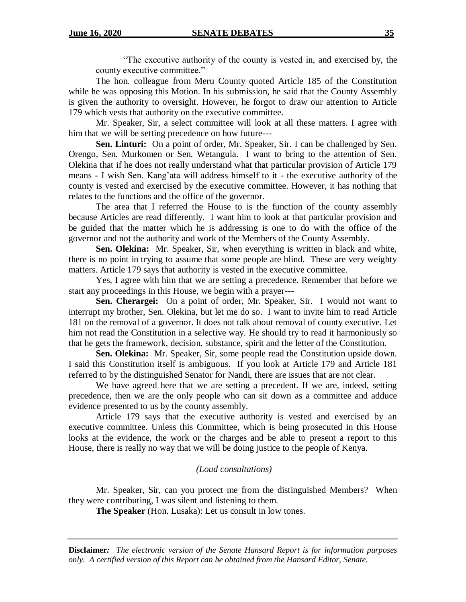"The executive authority of the county is vested in, and exercised by, the county executive committee."

The hon. colleague from Meru County quoted Article 185 of the Constitution while he was opposing this Motion. In his submission, he said that the County Assembly is given the authority to oversight. However, he forgot to draw our attention to Article 179 which vests that authority on the executive committee.

Mr. Speaker, Sir, a select committee will look at all these matters. I agree with him that we will be setting precedence on how future---

**Sen. Linturi:** On a point of order, Mr. Speaker, Sir. I can be challenged by Sen. Orengo, Sen. Murkomen or Sen. Wetangula. I want to bring to the attention of Sen. Olekina that if he does not really understand what that particular provision of Article 179 means - I wish Sen. Kang'ata will address himself to it - the executive authority of the county is vested and exercised by the executive committee. However, it has nothing that relates to the functions and the office of the governor.

The area that I referred the House to is the function of the county assembly because Articles are read differently. I want him to look at that particular provision and be guided that the matter which he is addressing is one to do with the office of the governor and not the authority and work of the Members of the County Assembly.

**Sen. Olekina:** Mr. Speaker, Sir, when everything is written in black and white, there is no point in trying to assume that some people are blind. These are very weighty matters. Article 179 says that authority is vested in the executive committee.

Yes, I agree with him that we are setting a precedence. Remember that before we start any proceedings in this House, we begin with a prayer---

**Sen. Cherargei:** On a point of order, Mr. Speaker, Sir. I would not want to interrupt my brother, Sen. Olekina, but let me do so. I want to invite him to read Article 181 on the removal of a governor. It does not talk about removal of county executive. Let him not read the Constitution in a selective way. He should try to read it harmoniously so that he gets the framework, decision, substance, spirit and the letter of the Constitution.

**Sen. Olekina:** Mr. Speaker, Sir, some people read the Constitution upside down. I said this Constitution itself is ambiguous. If you look at Article 179 and Article 181 referred to by the distinguished Senator for Nandi, there are issues that are not clear.

We have agreed here that we are setting a precedent. If we are, indeed, setting precedence, then we are the only people who can sit down as a committee and adduce evidence presented to us by the county assembly.

Article 179 says that the executive authority is vested and exercised by an executive committee. Unless this Committee, which is being prosecuted in this House looks at the evidence, the work or the charges and be able to present a report to this House, there is really no way that we will be doing justice to the people of Kenya.

## *(Loud consultations)*

Mr. Speaker, Sir, can you protect me from the distinguished Members? When they were contributing, I was silent and listening to them.

**The Speaker** (Hon. Lusaka): Let us consult in low tones.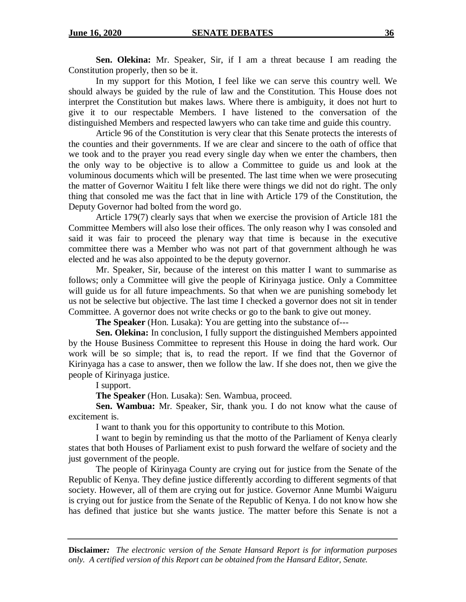**Sen. Olekina:** Mr. Speaker, Sir, if I am a threat because I am reading the Constitution properly, then so be it.

In my support for this Motion, I feel like we can serve this country well. We should always be guided by the rule of law and the Constitution. This House does not interpret the Constitution but makes laws. Where there is ambiguity, it does not hurt to give it to our respectable Members. I have listened to the conversation of the distinguished Members and respected lawyers who can take time and guide this country.

Article 96 of the Constitution is very clear that this Senate protects the interests of the counties and their governments. If we are clear and sincere to the oath of office that we took and to the prayer you read every single day when we enter the chambers, then the only way to be objective is to allow a Committee to guide us and look at the voluminous documents which will be presented. The last time when we were prosecuting the matter of Governor Waititu I felt like there were things we did not do right. The only thing that consoled me was the fact that in line with Article 179 of the Constitution, the Deputy Governor had bolted from the word go.

Article 179(7) clearly says that when we exercise the provision of Article 181 the Committee Members will also lose their offices. The only reason why I was consoled and said it was fair to proceed the plenary way that time is because in the executive committee there was a Member who was not part of that government although he was elected and he was also appointed to be the deputy governor.

Mr. Speaker, Sir, because of the interest on this matter I want to summarise as follows; only a Committee will give the people of Kirinyaga justice. Only a Committee will guide us for all future impeachments. So that when we are punishing somebody let us not be selective but objective. The last time I checked a governor does not sit in tender Committee. A governor does not write checks or go to the bank to give out money.

**The Speaker** (Hon. Lusaka): You are getting into the substance of---

**Sen. Olekina:** In conclusion, I fully support the distinguished Members appointed by the House Business Committee to represent this House in doing the hard work. Our work will be so simple; that is, to read the report. If we find that the Governor of Kirinyaga has a case to answer, then we follow the law. If she does not, then we give the people of Kirinyaga justice.

I support.

**The Speaker** (Hon. Lusaka): Sen. Wambua, proceed.

**Sen. Wambua:** Mr. Speaker, Sir, thank you. I do not know what the cause of excitement is.

I want to thank you for this opportunity to contribute to this Motion.

I want to begin by reminding us that the motto of the Parliament of Kenya clearly states that both Houses of Parliament exist to push forward the welfare of society and the just government of the people.

The people of Kirinyaga County are crying out for justice from the Senate of the Republic of Kenya. They define justice differently according to different segments of that society. However, all of them are crying out for justice. Governor Anne Mumbi Waiguru is crying out for justice from the Senate of the Republic of Kenya. I do not know how she has defined that justice but she wants justice. The matter before this Senate is not a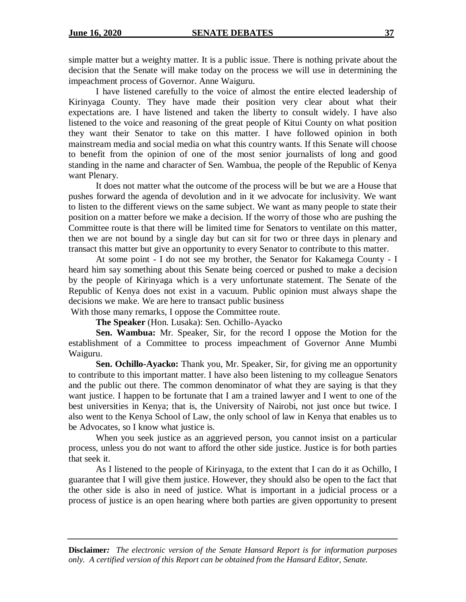simple matter but a weighty matter. It is a public issue. There is nothing private about the decision that the Senate will make today on the process we will use in determining the impeachment process of Governor. Anne Waiguru.

I have listened carefully to the voice of almost the entire elected leadership of Kirinyaga County. They have made their position very clear about what their expectations are. I have listened and taken the liberty to consult widely. I have also listened to the voice and reasoning of the great people of Kitui County on what position they want their Senator to take on this matter. I have followed opinion in both mainstream media and social media on what this country wants. If this Senate will choose to benefit from the opinion of one of the most senior journalists of long and good standing in the name and character of Sen. Wambua, the people of the Republic of Kenya want Plenary.

It does not matter what the outcome of the process will be but we are a House that pushes forward the agenda of devolution and in it we advocate for inclusivity. We want to listen to the different views on the same subject. We want as many people to state their position on a matter before we make a decision. If the worry of those who are pushing the Committee route is that there will be limited time for Senators to ventilate on this matter, then we are not bound by a single day but can sit for two or three days in plenary and transact this matter but give an opportunity to every Senator to contribute to this matter.

At some point - I do not see my brother, the Senator for Kakamega County - I heard him say something about this Senate being coerced or pushed to make a decision by the people of Kirinyaga which is a very unfortunate statement. The Senate of the Republic of Kenya does not exist in a vacuum. Public opinion must always shape the decisions we make. We are here to transact public business

With those many remarks, I oppose the Committee route.

**The Speaker** (Hon. Lusaka): Sen. Ochillo-Ayacko

**Sen. Wambua:** Mr. Speaker, Sir, for the record I oppose the Motion for the establishment of a Committee to process impeachment of Governor Anne Mumbi Waiguru.

**Sen. Ochillo-Ayacko:** Thank you, Mr. Speaker, Sir, for giving me an opportunity to contribute to this important matter. I have also been listening to my colleague Senators and the public out there. The common denominator of what they are saying is that they want justice. I happen to be fortunate that I am a trained lawyer and I went to one of the best universities in Kenya; that is, the University of Nairobi, not just once but twice. I also went to the Kenya School of Law, the only school of law in Kenya that enables us to be Advocates, so I know what justice is.

When you seek justice as an aggrieved person, you cannot insist on a particular process, unless you do not want to afford the other side justice. Justice is for both parties that seek it.

As I listened to the people of Kirinyaga, to the extent that I can do it as Ochillo, I guarantee that I will give them justice. However, they should also be open to the fact that the other side is also in need of justice. What is important in a judicial process or a process of justice is an open hearing where both parties are given opportunity to present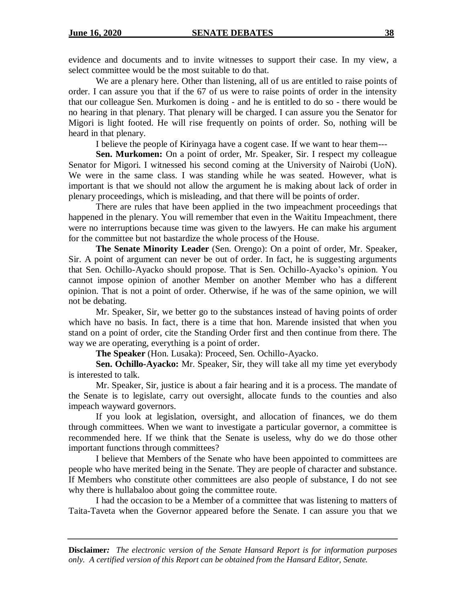evidence and documents and to invite witnesses to support their case. In my view, a select committee would be the most suitable to do that.

We are a plenary here. Other than listening, all of us are entitled to raise points of order. I can assure you that if the 67 of us were to raise points of order in the intensity that our colleague Sen. Murkomen is doing - and he is entitled to do so - there would be no hearing in that plenary. That plenary will be charged. I can assure you the Senator for Migori is light footed. He will rise frequently on points of order. So, nothing will be heard in that plenary.

I believe the people of Kirinyaga have a cogent case. If we want to hear them---

**Sen. Murkomen:** On a point of order, Mr. Speaker, Sir. I respect my colleague Senator for Migori. I witnessed his second coming at the University of Nairobi (UoN). We were in the same class. I was standing while he was seated. However, what is important is that we should not allow the argument he is making about lack of order in plenary proceedings, which is misleading, and that there will be points of order.

There are rules that have been applied in the two impeachment proceedings that happened in the plenary. You will remember that even in the Waititu Impeachment, there were no interruptions because time was given to the lawyers. He can make his argument for the committee but not bastardize the whole process of the House.

**The Senate Minority Leader** (Sen. Orengo): On a point of order, Mr. Speaker, Sir. A point of argument can never be out of order. In fact, he is suggesting arguments that Sen. Ochillo-Ayacko should propose. That is Sen. Ochillo-Ayacko's opinion. You cannot impose opinion of another Member on another Member who has a different opinion. That is not a point of order. Otherwise, if he was of the same opinion, we will not be debating.

Mr. Speaker, Sir, we better go to the substances instead of having points of order which have no basis. In fact, there is a time that hon. Marende insisted that when you stand on a point of order, cite the Standing Order first and then continue from there. The way we are operating, everything is a point of order.

**The Speaker** (Hon. Lusaka): Proceed, Sen. Ochillo-Ayacko.

**Sen. Ochillo-Ayacko:** Mr. Speaker, Sir, they will take all my time yet everybody is interested to talk.

Mr. Speaker, Sir, justice is about a fair hearing and it is a process. The mandate of the Senate is to legislate, carry out oversight, allocate funds to the counties and also impeach wayward governors.

If you look at legislation, oversight, and allocation of finances, we do them through committees. When we want to investigate a particular governor, a committee is recommended here. If we think that the Senate is useless, why do we do those other important functions through committees?

I believe that Members of the Senate who have been appointed to committees are people who have merited being in the Senate. They are people of character and substance. If Members who constitute other committees are also people of substance, I do not see why there is hullabaloo about going the committee route.

I had the occasion to be a Member of a committee that was listening to matters of Taita-Taveta when the Governor appeared before the Senate. I can assure you that we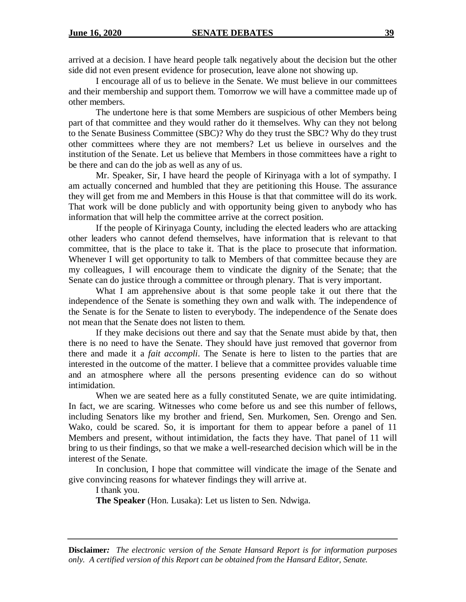arrived at a decision. I have heard people talk negatively about the decision but the other side did not even present evidence for prosecution, leave alone not showing up.

I encourage all of us to believe in the Senate. We must believe in our committees and their membership and support them. Tomorrow we will have a committee made up of other members.

The undertone here is that some Members are suspicious of other Members being part of that committee and they would rather do it themselves. Why can they not belong to the Senate Business Committee (SBC)? Why do they trust the SBC? Why do they trust other committees where they are not members? Let us believe in ourselves and the institution of the Senate. Let us believe that Members in those committees have a right to be there and can do the job as well as any of us.

Mr. Speaker, Sir, I have heard the people of Kirinyaga with a lot of sympathy. I am actually concerned and humbled that they are petitioning this House. The assurance they will get from me and Members in this House is that that committee will do its work. That work will be done publicly and with opportunity being given to anybody who has information that will help the committee arrive at the correct position.

If the people of Kirinyaga County, including the elected leaders who are attacking other leaders who cannot defend themselves, have information that is relevant to that committee, that is the place to take it. That is the place to prosecute that information. Whenever I will get opportunity to talk to Members of that committee because they are my colleagues, I will encourage them to vindicate the dignity of the Senate; that the Senate can do justice through a committee or through plenary. That is very important.

What I am apprehensive about is that some people take it out there that the independence of the Senate is something they own and walk with. The independence of the Senate is for the Senate to listen to everybody. The independence of the Senate does not mean that the Senate does not listen to them.

If they make decisions out there and say that the Senate must abide by that, then there is no need to have the Senate. They should have just removed that governor from there and made it a *fait accompli*. The Senate is here to listen to the parties that are interested in the outcome of the matter. I believe that a committee provides valuable time and an atmosphere where all the persons presenting evidence can do so without intimidation.

When we are seated here as a fully constituted Senate, we are quite intimidating. In fact, we are scaring. Witnesses who come before us and see this number of fellows, including Senators like my brother and friend, Sen. Murkomen, Sen. Orengo and Sen. Wako, could be scared. So, it is important for them to appear before a panel of 11 Members and present, without intimidation, the facts they have. That panel of 11 will bring to us their findings, so that we make a well-researched decision which will be in the interest of the Senate.

In conclusion, I hope that committee will vindicate the image of the Senate and give convincing reasons for whatever findings they will arrive at.

I thank you.

**The Speaker** (Hon. Lusaka): Let us listen to Sen. Ndwiga.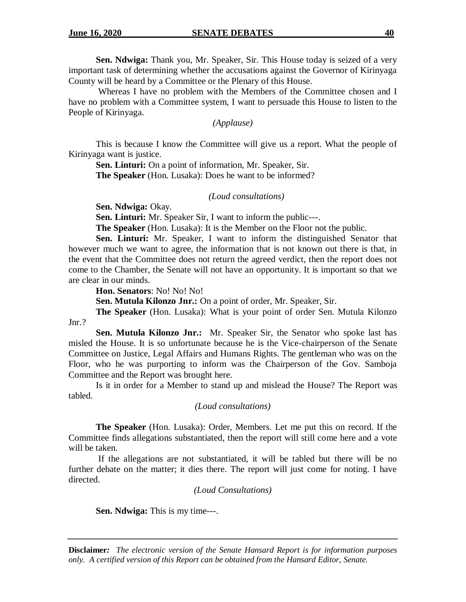**Sen. Ndwiga:** Thank you, Mr. Speaker, Sir. This House today is seized of a very important task of determining whether the accusations against the Governor of Kirinyaga County will be heard by a Committee or the Plenary of this House.

Whereas I have no problem with the Members of the Committee chosen and I have no problem with a Committee system, I want to persuade this House to listen to the People of Kirinyaga.

*(Applause)*

This is because I know the Committee will give us a report. What the people of Kirinyaga want is justice.

**Sen. Linturi:** On a point of information, Mr. Speaker, Sir. **The Speaker** (Hon. Lusaka): Does he want to be informed?

*(Loud consultations)*

**Sen. Ndwiga:** Okay.

**Sen. Linturi:** Mr. Speaker Sir, I want to inform the public---.

**The Speaker** (Hon. Lusaka): It is the Member on the Floor not the public.

**Sen. Linturi:** Mr. Speaker, I want to inform the distinguished Senator that however much we want to agree, the information that is not known out there is that, in the event that the Committee does not return the agreed verdict, then the report does not come to the Chamber, the Senate will not have an opportunity. It is important so that we are clear in our minds.

**Hon. Senators**: No! No! No!

**Sen. Mutula Kilonzo Jnr.:** On a point of order, Mr. Speaker, Sir.

**The Speaker** (Hon. Lusaka): What is your point of order Sen. Mutula Kilonzo Jnr.?

**Sen. Mutula Kilonzo Jnr.:** Mr. Speaker Sir, the Senator who spoke last has misled the House. It is so unfortunate because he is the Vice-chairperson of the Senate Committee on Justice, Legal Affairs and Humans Rights. The gentleman who was on the Floor, who he was purporting to inform was the Chairperson of the Gov. Samboja Committee and the Report was brought here.

Is it in order for a Member to stand up and mislead the House? The Report was tabled.

*(Loud consultations)*

**The Speaker** (Hon. Lusaka): Order, Members. Let me put this on record. If the Committee finds allegations substantiated, then the report will still come here and a vote will be taken.

If the allegations are not substantiated, it will be tabled but there will be no further debate on the matter; it dies there. The report will just come for noting. I have directed.

*(Loud Consultations)*

**Sen. Ndwiga:** This is my time---.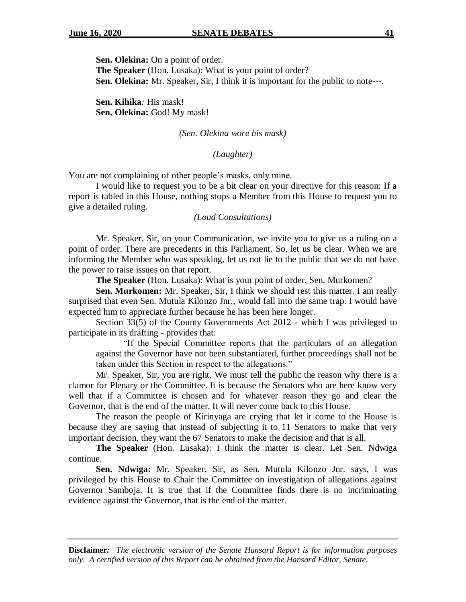**Sen. Olekina:** On a point of order.

**The Speaker** (Hon. Lusaka): What is your point of order? **Sen. Olekina:** Mr. Speaker, Sir, I think it is important for the public to note---.

**Sen. Kihika***:* His mask! **Sen. Olekina:** God! My mask!

#### *(Sen. Olekina wore his mask)*

## *(Laughter)*

You are not complaining of other people's masks, only mine.

I would like to request you to be a bit clear on your directive for this reason: If a report is tabled in this House, nothing stops a Member from this House to request you to give a detailed ruling.

#### *(Loud Consultations)*

Mr. Speaker, Sir, on your Communication, we invite you to give us a ruling on a point of order. There are precedents in this Parliament. So, let us be clear. When we are informing the Member who was speaking, let us not lie to the public that we do not have the power to raise issues on that report.

**The Speaker** (Hon. Lusaka): What is your point of order, Sen. Murkomen?

**Sen. Murkomen:** Mr. Speaker, Sir, I think we should rest this matter. I am really surprised that even Sen. Mutula Kilonzo Jnr., would fall into the same trap. I would have expected him to appreciate further because he has been here longer.

Section 33(5) of the County Governments Act 2012 - which I was privileged to participate in its drafting - provides that:

"If the Special Committee reports that the particulars of an allegation against the Governor have not been substantiated, further proceedings shall not be taken under this Section in respect to the allegations."

Mr. Speaker, Sir, you are right. We must tell the public the reason why there is a clamor for Plenary or the Committee. It is because the Senators who are here know very well that if a Committee is chosen and for whatever reason they go and clear the Governor, that is the end of the matter. It will never come back to this House.

The reason the people of Kirinyaga are crying that let it come to the House is because they are saying that instead of subjecting it to 11 Senators to make that very important decision, they want the 67 Senators to make the decision and that is all.

**The Speaker** (Hon. Lusaka): I think the matter is clear. Let Sen. Ndwiga continue.

**Sen. Ndwiga:** Mr. Speaker, Sir, as Sen. Mutula Kilonzo Jnr. says, I was privileged by this House to Chair the Committee on investigation of allegations against Governor Samboja. It is true that if the Committee finds there is no incriminating evidence against the Governor, that is the end of the matter.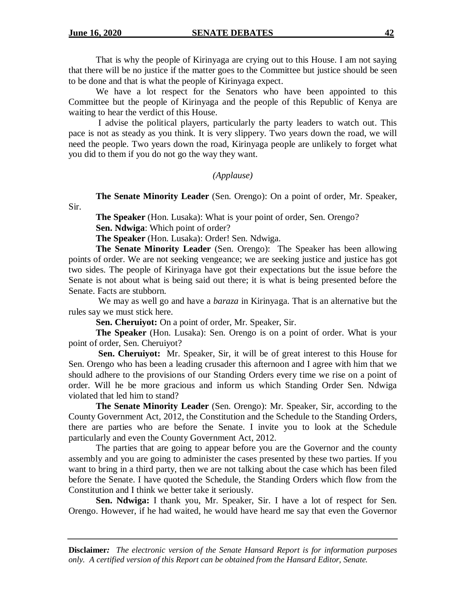That is why the people of Kirinyaga are crying out to this House. I am not saying that there will be no justice if the matter goes to the Committee but justice should be seen to be done and that is what the people of Kirinyaga expect.

We have a lot respect for the Senators who have been appointed to this Committee but the people of Kirinyaga and the people of this Republic of Kenya are waiting to hear the verdict of this House.

I advise the political players, particularly the party leaders to watch out. This pace is not as steady as you think. It is very slippery. Two years down the road, we will need the people. Two years down the road, Kirinyaga people are unlikely to forget what you did to them if you do not go the way they want.

#### *(Applause)*

**The Senate Minority Leader** (Sen. Orengo): On a point of order, Mr. Speaker, Sir.

**The Speaker** (Hon. Lusaka): What is your point of order, Sen. Orengo? **Sen. Ndwiga**: Which point of order?

**The Speaker** (Hon. Lusaka): Order! Sen. Ndwiga.

**The Senate Minority Leader** (Sen. Orengo): The Speaker has been allowing points of order. We are not seeking vengeance; we are seeking justice and justice has got two sides. The people of Kirinyaga have got their expectations but the issue before the Senate is not about what is being said out there; it is what is being presented before the Senate. Facts are stubborn.

We may as well go and have a *baraza* in Kirinyaga. That is an alternative but the rules say we must stick here.

**Sen. Cheruiyot:** On a point of order, Mr. Speaker, Sir.

**The Speaker** (Hon. Lusaka): Sen. Orengo is on a point of order. What is your point of order, Sen. Cheruiyot?

**Sen. Cheruiyot:** Mr. Speaker, Sir, it will be of great interest to this House for Sen. Orengo who has been a leading crusader this afternoon and I agree with him that we should adhere to the provisions of our Standing Orders every time we rise on a point of order. Will he be more gracious and inform us which Standing Order Sen. Ndwiga violated that led him to stand?

**The Senate Minority Leader** (Sen. Orengo): Mr. Speaker, Sir, according to the County Government Act, 2012, the Constitution and the Schedule to the Standing Orders, there are parties who are before the Senate. I invite you to look at the Schedule particularly and even the County Government Act, 2012.

The parties that are going to appear before you are the Governor and the county assembly and you are going to administer the cases presented by these two parties. If you want to bring in a third party, then we are not talking about the case which has been filed before the Senate. I have quoted the Schedule, the Standing Orders which flow from the Constitution and I think we better take it seriously.

**Sen. Ndwiga:** I thank you, Mr. Speaker, Sir. I have a lot of respect for Sen. Orengo. However, if he had waited, he would have heard me say that even the Governor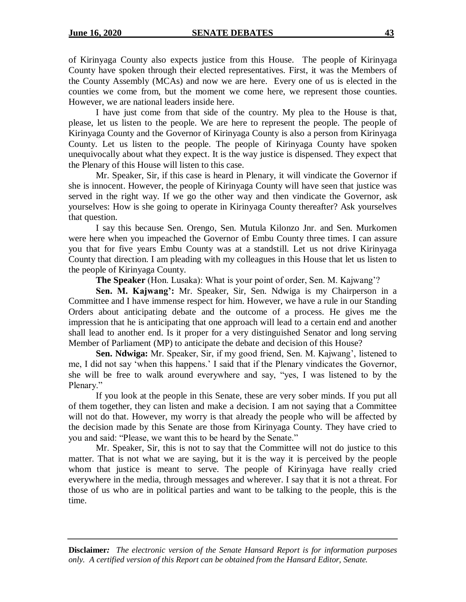of Kirinyaga County also expects justice from this House. The people of Kirinyaga County have spoken through their elected representatives. First, it was the Members of the County Assembly (MCAs) and now we are here. Every one of us is elected in the counties we come from, but the moment we come here, we represent those counties. However, we are national leaders inside here.

I have just come from that side of the country. My plea to the House is that, please, let us listen to the people. We are here to represent the people. The people of Kirinyaga County and the Governor of Kirinyaga County is also a person from Kirinyaga County. Let us listen to the people. The people of Kirinyaga County have spoken unequivocally about what they expect. It is the way justice is dispensed. They expect that the Plenary of this House will listen to this case.

Mr. Speaker, Sir, if this case is heard in Plenary, it will vindicate the Governor if she is innocent. However, the people of Kirinyaga County will have seen that justice was served in the right way. If we go the other way and then vindicate the Governor, ask yourselves: How is she going to operate in Kirinyaga County thereafter? Ask yourselves that question.

I say this because Sen. Orengo, Sen. Mutula Kilonzo Jnr. and Sen. Murkomen were here when you impeached the Governor of Embu County three times. I can assure you that for five years Embu County was at a standstill. Let us not drive Kirinyaga County that direction. I am pleading with my colleagues in this House that let us listen to the people of Kirinyaga County.

**The Speaker** (Hon. Lusaka): What is your point of order, Sen. M. Kajwang'?

**Sen. M. Kajwang':** Mr. Speaker, Sir, Sen. Ndwiga is my Chairperson in a Committee and I have immense respect for him. However, we have a rule in our Standing Orders about anticipating debate and the outcome of a process. He gives me the impression that he is anticipating that one approach will lead to a certain end and another shall lead to another end. Is it proper for a very distinguished Senator and long serving Member of Parliament (MP) to anticipate the debate and decision of this House?

**Sen. Ndwiga:** Mr. Speaker, Sir, if my good friend, Sen. M. Kajwang', listened to me, I did not say 'when this happens.' I said that if the Plenary vindicates the Governor, she will be free to walk around everywhere and say, "yes, I was listened to by the Plenary."

If you look at the people in this Senate, these are very sober minds. If you put all of them together, they can listen and make a decision. I am not saying that a Committee will not do that. However, my worry is that already the people who will be affected by the decision made by this Senate are those from Kirinyaga County. They have cried to you and said: "Please, we want this to be heard by the Senate."

Mr. Speaker, Sir, this is not to say that the Committee will not do justice to this matter. That is not what we are saying, but it is the way it is perceived by the people whom that justice is meant to serve. The people of Kirinyaga have really cried everywhere in the media, through messages and wherever. I say that it is not a threat. For those of us who are in political parties and want to be talking to the people, this is the time.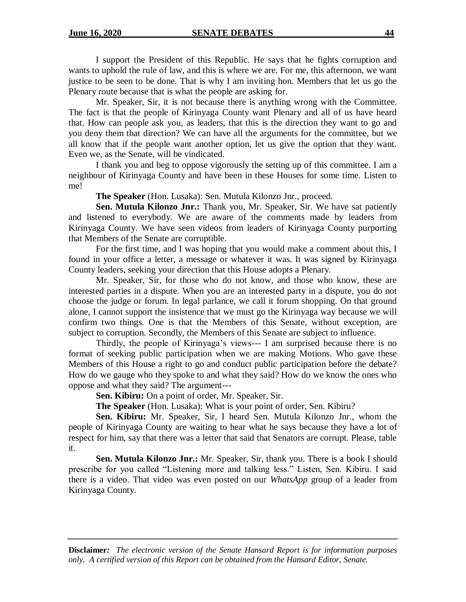I support the President of this Republic. He says that he fights corruption and wants to uphold the rule of law, and this is where we are. For me, this afternoon, we want justice to be seen to be done. That is why I am inviting hon. Members that let us go the Plenary route because that is what the people are asking for.

Mr. Speaker, Sir, it is not because there is anything wrong with the Committee. The fact is that the people of Kirinyaga County want Plenary and all of us have heard that. How can people ask you, as leaders, that this is the direction they want to go and you deny them that direction? We can have all the arguments for the committee, but we all know that if the people want another option, let us give the option that they want. Even we, as the Senate, will be vindicated.

I thank you and beg to oppose vigorously the setting up of this committee. I am a neighbour of Kirinyaga County and have been in these Houses for some time. Listen to me!

**The Speaker** (Hon. Lusaka): Sen. Mutula Kilonzo Jnr., proceed.

**Sen. Mutula Kilonzo Jnr.:** Thank you, Mr. Speaker, Sir. We have sat patiently and listened to everybody. We are aware of the comments made by leaders from Kirinyaga County. We have seen videos from leaders of Kirinyaga County purporting that Members of the Senate are corruptible.

For the first time, and I was hoping that you would make a comment about this, I found in your office a letter, a message or whatever it was. It was signed by Kirinyaga County leaders, seeking your direction that this House adopts a Plenary.

Mr. Speaker, Sir, for those who do not know, and those who know, these are interested parties in a dispute. When you are an interested party in a dispute, you do not choose the judge or forum. In legal parlance, we call it forum shopping. On that ground alone, I cannot support the insistence that we must go the Kirinyaga way because we will confirm two things. One is that the Members of this Senate, without exception, are subject to corruption. Secondly, the Members of this Senate are subject to influence.

Thirdly, the people of Kirinyaga's views--- I am surprised because there is no format of seeking public participation when we are making Motions. Who gave these Members of this House a right to go and conduct public participation before the debate? How do we gauge who they spoke to and what they said? How do we know the ones who oppose and what they said? The argument---

**Sen. Kibiru:** On a point of order, Mr. Speaker, Sir.

**The Speaker** (Hon. Lusaka): What is your point of order, Sen. Kibiru?

**Sen. Kibiru:** Mr. Speaker, Sir, I heard Sen. Mutula Kilonzo Jnr., whom the people of Kirinyaga County are waiting to hear what he says because they have a lot of respect for him, say that there was a letter that said that Senators are corrupt. Please, table it.

**Sen. Mutula Kilonzo Jnr.:** Mr. Speaker, Sir, thank you. There is a book I should prescribe for you called "Listening more and talking less." Listen, Sen. Kibiru. I said there is a video. That video was even posted on our *WhatsApp* group of a leader from Kirinyaga County.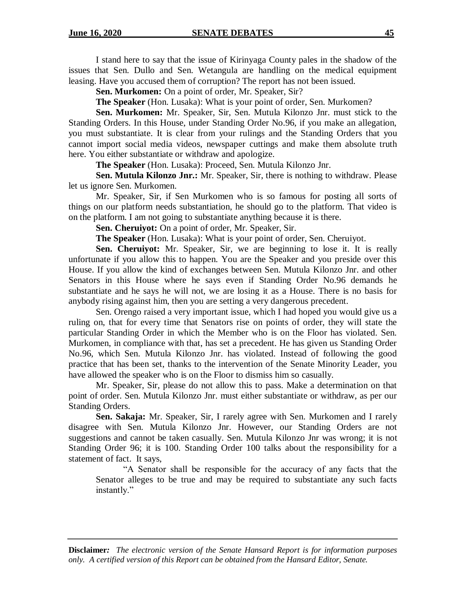I stand here to say that the issue of Kirinyaga County pales in the shadow of the issues that Sen. Dullo and Sen. Wetangula are handling on the medical equipment leasing. Have you accused them of corruption? The report has not been issued.

**Sen. Murkomen:** On a point of order, Mr. Speaker, Sir?

**The Speaker** (Hon. Lusaka): What is your point of order, Sen. Murkomen?

**Sen. Murkomen:** Mr. Speaker, Sir, Sen. Mutula Kilonzo Jnr. must stick to the Standing Orders. In this House, under Standing Order No.96, if you make an allegation, you must substantiate. It is clear from your rulings and the Standing Orders that you cannot import social media videos, newspaper cuttings and make them absolute truth here. You either substantiate or withdraw and apologize.

**The Speaker** (Hon. Lusaka): Proceed, Sen. Mutula Kilonzo Jnr.

**Sen. Mutula Kilonzo Jnr.:** Mr. Speaker, Sir, there is nothing to withdraw. Please let us ignore Sen. Murkomen.

Mr. Speaker, Sir, if Sen Murkomen who is so famous for posting all sorts of things on our platform needs substantiation, he should go to the platform. That video is on the platform. I am not going to substantiate anything because it is there.

**Sen. Cheruiyot:** On a point of order, Mr. Speaker, Sir.

**The Speaker** (Hon. Lusaka): What is your point of order, Sen. Cheruiyot.

**Sen. Cheruiyot:** Mr. Speaker, Sir, we are beginning to lose it. It is really unfortunate if you allow this to happen. You are the Speaker and you preside over this House. If you allow the kind of exchanges between Sen. Mutula Kilonzo Jnr. and other Senators in this House where he says even if Standing Order No.96 demands he substantiate and he says he will not, we are losing it as a House. There is no basis for anybody rising against him, then you are setting a very dangerous precedent.

Sen. Orengo raised a very important issue, which I had hoped you would give us a ruling on, that for every time that Senators rise on points of order, they will state the particular Standing Order in which the Member who is on the Floor has violated. Sen. Murkomen, in compliance with that, has set a precedent. He has given us Standing Order No.96, which Sen. Mutula Kilonzo Jnr. has violated. Instead of following the good practice that has been set, thanks to the intervention of the Senate Minority Leader, you have allowed the speaker who is on the Floor to dismiss him so casually.

Mr. Speaker, Sir, please do not allow this to pass. Make a determination on that point of order. Sen. Mutula Kilonzo Jnr. must either substantiate or withdraw, as per our Standing Orders.

**Sen. Sakaja:** Mr. Speaker, Sir, I rarely agree with Sen. Murkomen and I rarely disagree with Sen. Mutula Kilonzo Jnr. However, our Standing Orders are not suggestions and cannot be taken casually. Sen. Mutula Kilonzo Jnr was wrong; it is not Standing Order 96; it is 100. Standing Order 100 talks about the responsibility for a statement of fact. It says,

"A Senator shall be responsible for the accuracy of any facts that the Senator alleges to be true and may be required to substantiate any such facts instantly."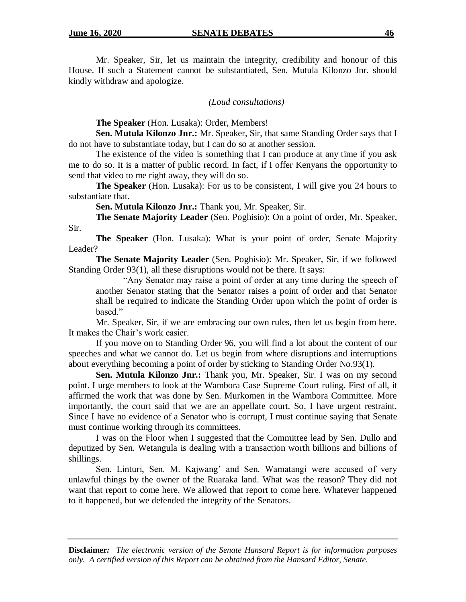Sir.

Mr. Speaker, Sir, let us maintain the integrity, credibility and honour of this House. If such a Statement cannot be substantiated, Sen. Mutula Kilonzo Jnr. should kindly withdraw and apologize.

*(Loud consultations)*

**The Speaker** (Hon. Lusaka): Order, Members!

**Sen. Mutula Kilonzo Jnr.:** Mr. Speaker, Sir, that same Standing Order says that I do not have to substantiate today, but I can do so at another session.

The existence of the video is something that I can produce at any time if you ask me to do so. It is a matter of public record. In fact, if I offer Kenyans the opportunity to send that video to me right away, they will do so.

**The Speaker** (Hon. Lusaka): For us to be consistent, I will give you 24 hours to substantiate that.

**Sen. Mutula Kilonzo Jnr.:** Thank you, Mr. Speaker, Sir.

**The Senate Majority Leader** (Sen. Poghisio): On a point of order, Mr. Speaker,

**The Speaker** (Hon. Lusaka): What is your point of order, Senate Majority Leader?

**The Senate Majority Leader** (Sen. Poghisio): Mr. Speaker, Sir, if we followed Standing Order 93(1), all these disruptions would not be there. It says:

"Any Senator may raise a point of order at any time during the speech of another Senator stating that the Senator raises a point of order and that Senator shall be required to indicate the Standing Order upon which the point of order is based."

Mr. Speaker, Sir, if we are embracing our own rules, then let us begin from here. It makes the Chair's work easier.

If you move on to Standing Order 96, you will find a lot about the content of our speeches and what we cannot do. Let us begin from where disruptions and interruptions about everything becoming a point of order by sticking to Standing Order No.93(1).

**Sen. Mutula Kilonzo Jnr.:** Thank you, Mr. Speaker, Sir. I was on my second point. I urge members to look at the Wambora Case Supreme Court ruling. First of all, it affirmed the work that was done by Sen. Murkomen in the Wambora Committee. More importantly, the court said that we are an appellate court. So, I have urgent restraint. Since I have no evidence of a Senator who is corrupt, I must continue saying that Senate must continue working through its committees.

I was on the Floor when I suggested that the Committee lead by Sen. Dullo and deputized by Sen. Wetangula is dealing with a transaction worth billions and billions of shillings.

Sen. Linturi, Sen. M. Kajwang' and Sen. Wamatangi were accused of very unlawful things by the owner of the Ruaraka land. What was the reason? They did not want that report to come here. We allowed that report to come here. Whatever happened to it happened, but we defended the integrity of the Senators.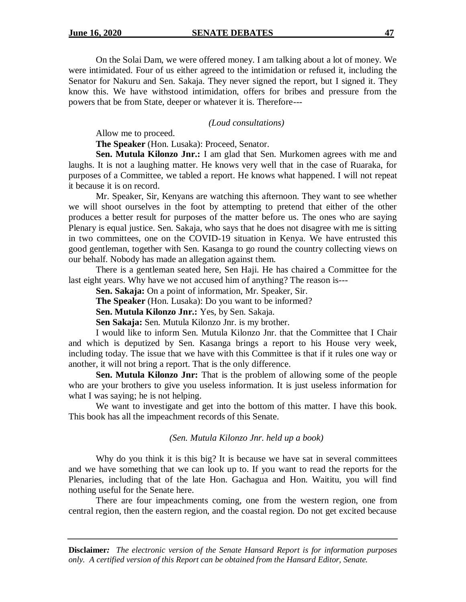On the Solai Dam, we were offered money. I am talking about a lot of money. We were intimidated. Four of us either agreed to the intimidation or refused it, including the Senator for Nakuru and Sen. Sakaja. They never signed the report, but I signed it. They know this. We have withstood intimidation, offers for bribes and pressure from the powers that be from State, deeper or whatever it is. Therefore---

*(Loud consultations)*

Allow me to proceed.

**The Speaker** (Hon. Lusaka): Proceed, Senator.

**Sen. Mutula Kilonzo Jnr.:** I am glad that Sen. Murkomen agrees with me and laughs. It is not a laughing matter. He knows very well that in the case of Ruaraka, for purposes of a Committee, we tabled a report. He knows what happened. I will not repeat it because it is on record.

Mr. Speaker, Sir, Kenyans are watching this afternoon. They want to see whether we will shoot ourselves in the foot by attempting to pretend that either of the other produces a better result for purposes of the matter before us. The ones who are saying Plenary is equal justice. Sen. Sakaja, who says that he does not disagree with me is sitting in two committees, one on the COVID-19 situation in Kenya. We have entrusted this good gentleman, together with Sen. Kasanga to go round the country collecting views on our behalf. Nobody has made an allegation against them.

There is a gentleman seated here, Sen Haji. He has chaired a Committee for the last eight years. Why have we not accused him of anything? The reason is---

**Sen. Sakaja:** On a point of information, Mr. Speaker, Sir.

**The Speaker** (Hon. Lusaka): Do you want to be informed?

**Sen. Mutula Kilonzo Jnr.:** Yes, by Sen. Sakaja.

**Sen Sakaja:** Sen. Mutula Kilonzo Jnr. is my brother.

I would like to inform Sen. Mutula Kilonzo Jnr. that the Committee that I Chair and which is deputized by Sen. Kasanga brings a report to his House very week, including today. The issue that we have with this Committee is that if it rules one way or another, it will not bring a report. That is the only difference.

**Sen. Mutula Kilonzo Jnr:** That is the problem of allowing some of the people who are your brothers to give you useless information. It is just useless information for what I was saying; he is not helping.

We want to investigate and get into the bottom of this matter. I have this book. This book has all the impeachment records of this Senate.

*(Sen. Mutula Kilonzo Jnr. held up a book)*

Why do you think it is this big? It is because we have sat in several committees and we have something that we can look up to. If you want to read the reports for the Plenaries, including that of the late Hon. Gachagua and Hon. Waititu, you will find nothing useful for the Senate here.

There are four impeachments coming, one from the western region, one from central region, then the eastern region, and the coastal region. Do not get excited because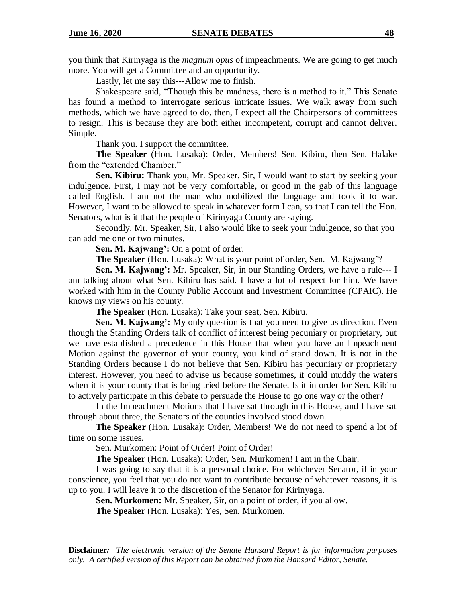you think that Kirinyaga is the *magnum opus* of impeachments. We are going to get much more. You will get a Committee and an opportunity.

Lastly, let me say this---Allow me to finish.

Shakespeare said, "Though this be madness, there is a method to it." This Senate has found a method to interrogate serious intricate issues. We walk away from such methods, which we have agreed to do, then, I expect all the Chairpersons of committees to resign. This is because they are both either incompetent, corrupt and cannot deliver. Simple.

Thank you. I support the committee.

**The Speaker** (Hon. Lusaka): Order, Members! Sen. Kibiru, then Sen. Halake from the "extended Chamber."

**Sen. Kibiru:** Thank you, Mr. Speaker, Sir, I would want to start by seeking your indulgence. First, I may not be very comfortable, or good in the gab of this language called English. I am not the man who mobilized the language and took it to war. However, I want to be allowed to speak in whatever form I can, so that I can tell the Hon. Senators, what is it that the people of Kirinyaga County are saying.

Secondly, Mr. Speaker, Sir, I also would like to seek your indulgence, so that you can add me one or two minutes.

**Sen. M. Kajwang':** On a point of order.

**The Speaker** (Hon. Lusaka): What is your point of order, Sen. M. Kajwang'?

**Sen. M. Kajwang':** Mr. Speaker, Sir, in our Standing Orders, we have a rule--- I am talking about what Sen. Kibiru has said. I have a lot of respect for him. We have worked with him in the County Public Account and Investment Committee (CPAIC). He knows my views on his county.

**The Speaker** (Hon. Lusaka): Take your seat, Sen. Kibiru.

**Sen. M. Kajwang':** My only question is that you need to give us direction. Even though the Standing Orders talk of conflict of interest being pecuniary or proprietary, but we have established a precedence in this House that when you have an Impeachment Motion against the governor of your county, you kind of stand down. It is not in the Standing Orders because I do not believe that Sen. Kibiru has pecuniary or proprietary interest. However, you need to advise us because sometimes, it could muddy the waters when it is your county that is being tried before the Senate. Is it in order for Sen. Kibiru to actively participate in this debate to persuade the House to go one way or the other?

In the Impeachment Motions that I have sat through in this House, and I have sat through about three, the Senators of the counties involved stood down.

**The Speaker** (Hon. Lusaka): Order, Members! We do not need to spend a lot of time on some issues.

Sen. Murkomen: Point of Order! Point of Order!

**The Speaker** (Hon. Lusaka): Order, Sen. Murkomen! I am in the Chair.

I was going to say that it is a personal choice. For whichever Senator, if in your conscience, you feel that you do not want to contribute because of whatever reasons, it is up to you. I will leave it to the discretion of the Senator for Kirinyaga.

**Sen. Murkomen:** Mr. Speaker, Sir, on a point of order, if you allow.

**The Speaker** (Hon. Lusaka): Yes, Sen. Murkomen.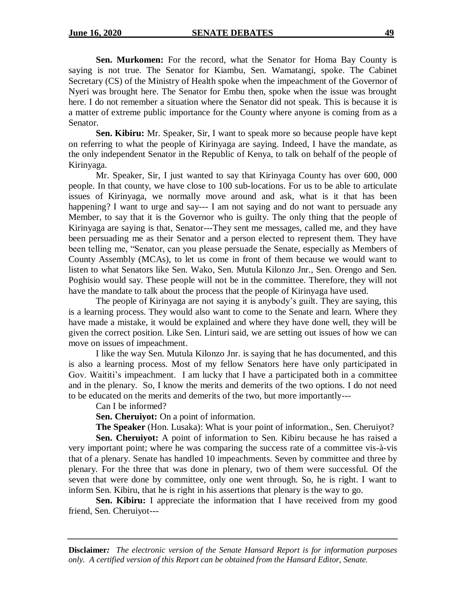**Sen. Murkomen:** For the record, what the Senator for Homa Bay County is saying is not true. The Senator for Kiambu, Sen. Wamatangi, spoke. The Cabinet Secretary (CS) of the Ministry of Health spoke when the impeachment of the Governor of Nyeri was brought here. The Senator for Embu then, spoke when the issue was brought here. I do not remember a situation where the Senator did not speak. This is because it is a matter of extreme public importance for the County where anyone is coming from as a Senator.

**Sen. Kibiru:** Mr. Speaker, Sir, I want to speak more so because people have kept on referring to what the people of Kirinyaga are saying. Indeed, I have the mandate, as the only independent Senator in the Republic of Kenya, to talk on behalf of the people of Kirinyaga.

Mr. Speaker, Sir, I just wanted to say that Kirinyaga County has over 600, 000 people. In that county, we have close to 100 sub-locations. For us to be able to articulate issues of Kirinyaga, we normally move around and ask, what is it that has been happening? I want to urge and say--- I am not saying and do not want to persuade any Member, to say that it is the Governor who is guilty. The only thing that the people of Kirinyaga are saying is that, Senator---They sent me messages, called me, and they have been persuading me as their Senator and a person elected to represent them. They have been telling me, "Senator, can you please persuade the Senate, especially as Members of County Assembly (MCAs), to let us come in front of them because we would want to listen to what Senators like Sen. Wako, Sen. Mutula Kilonzo Jnr., Sen. Orengo and Sen. Poghisio would say. These people will not be in the committee. Therefore, they will not have the mandate to talk about the process that the people of Kirinyaga have used.

The people of Kirinyaga are not saying it is anybody's guilt. They are saying, this is a learning process. They would also want to come to the Senate and learn. Where they have made a mistake, it would be explained and where they have done well, they will be given the correct position. Like Sen. Linturi said, we are setting out issues of how we can move on issues of impeachment.

I like the way Sen. Mutula Kilonzo Jnr. is saying that he has documented, and this is also a learning process. Most of my fellow Senators here have only participated in Gov. Waititi's impeachment. I am lucky that I have a participated both in a committee and in the plenary. So, I know the merits and demerits of the two options. I do not need to be educated on the merits and demerits of the two, but more importantly---

#### Can I be informed?

**Sen. Cheruiyot:** On a point of information.

**The Speaker** (Hon. Lusaka): What is your point of information., Sen. Cheruiyot?

**Sen. Cheruiyot:** A point of information to Sen. Kibiru because he has raised a very important point; where he was comparing the success rate of a committee vis-à-vis that of a plenary. Senate has handled 10 impeachments. Seven by committee and three by plenary. For the three that was done in plenary, two of them were successful. Of the seven that were done by committee, only one went through. So, he is right. I want to inform Sen. Kibiru, that he is right in his assertions that plenary is the way to go.

**Sen. Kibiru:** I appreciate the information that I have received from my good friend, Sen. Cheruiyot---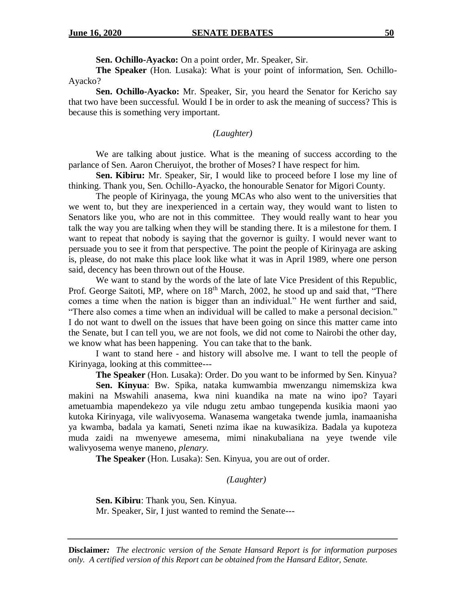**Sen. Ochillo-Ayacko:** On a point order, Mr. Speaker, Sir.

**The Speaker** (Hon. Lusaka): What is your point of information, Sen. Ochillo-Ayacko?

**Sen. Ochillo-Ayacko:** Mr. Speaker, Sir, you heard the Senator for Kericho say that two have been successful. Would I be in order to ask the meaning of success? This is because this is something very important.

## *(Laughter)*

We are talking about justice. What is the meaning of success according to the parlance of Sen. Aaron Cheruiyot, the brother of Moses? I have respect for him.

**Sen. Kibiru:** Mr. Speaker, Sir, I would like to proceed before I lose my line of thinking. Thank you, Sen. Ochillo-Ayacko, the honourable Senator for Migori County.

The people of Kirinyaga, the young MCAs who also went to the universities that we went to, but they are inexperienced in a certain way, they would want to listen to Senators like you, who are not in this committee. They would really want to hear you talk the way you are talking when they will be standing there. It is a milestone for them. I want to repeat that nobody is saying that the governor is guilty. I would never want to persuade you to see it from that perspective. The point the people of Kirinyaga are asking is, please, do not make this place look like what it was in April 1989, where one person said, decency has been thrown out of the House.

We want to stand by the words of the late of late Vice President of this Republic, Prof. George Saitoti, MP, where on 18<sup>th</sup> March, 2002, he stood up and said that, "There comes a time when the nation is bigger than an individual." He went further and said, "There also comes a time when an individual will be called to make a personal decision." I do not want to dwell on the issues that have been going on since this matter came into the Senate, but I can tell you, we are not fools, we did not come to Nairobi the other day, we know what has been happening. You can take that to the bank.

I want to stand here - and history will absolve me. I want to tell the people of Kirinyaga, looking at this committee---

**The Speaker** (Hon. Lusaka): Order. Do you want to be informed by Sen. Kinyua?

**Sen. Kinyua**: Bw. Spika, nataka kumwambia mwenzangu nimemskiza kwa makini na Mswahili anasema, kwa nini kuandika na mate na wino ipo? Tayari ametuambia mapendekezo ya vile ndugu zetu ambao tungependa kusikia maoni yao kutoka Kirinyaga, vile walivyosema. Wanasema wangetaka twende jumla, inamaanisha ya kwamba, badala ya kamati, Seneti nzima ikae na kuwasikiza. Badala ya kupoteza muda zaidi na mwenyewe amesema, mimi ninakubaliana na yeye twende vile walivyosema wenye maneno, *plenary.*

**The Speaker** (Hon. Lusaka): Sen. Kinyua, you are out of order.

#### *(Laughter)*

**Sen. Kibiru**: Thank you, Sen. Kinyua. Mr. Speaker, Sir, I just wanted to remind the Senate---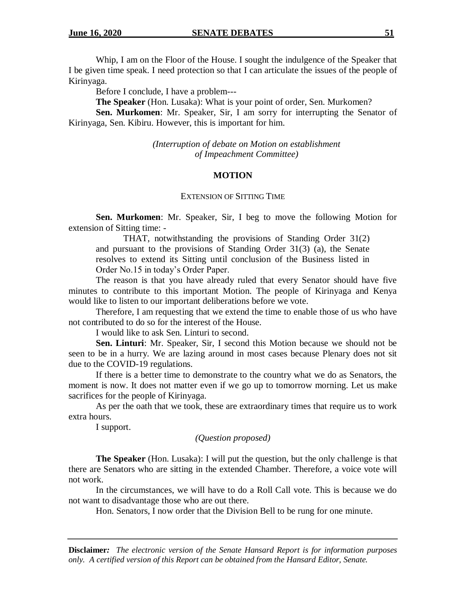Whip, I am on the Floor of the House. I sought the indulgence of the Speaker that I be given time speak. I need protection so that I can articulate the issues of the people of Kirinyaga.

Before I conclude, I have a problem---

**The Speaker** (Hon. Lusaka): What is your point of order, Sen. Murkomen?

**Sen. Murkomen**: Mr. Speaker, Sir, I am sorry for interrupting the Senator of Kirinyaga, Sen. Kibiru. However, this is important for him.

> *(Interruption of debate on Motion on establishment of Impeachment Committee)*

## **MOTION**

### EXTENSION OF SITTING TIME

**Sen. Murkomen**: Mr. Speaker, Sir, I beg to move the following Motion for extension of Sitting time: -

THAT, notwithstanding the provisions of Standing Order 31(2) and pursuant to the provisions of Standing Order 31(3) (a), the Senate resolves to extend its Sitting until conclusion of the Business listed in Order No.15 in today's Order Paper.

The reason is that you have already ruled that every Senator should have five minutes to contribute to this important Motion. The people of Kirinyaga and Kenya would like to listen to our important deliberations before we vote.

Therefore, I am requesting that we extend the time to enable those of us who have not contributed to do so for the interest of the House.

I would like to ask Sen. Linturi to second.

**Sen. Linturi**: Mr. Speaker, Sir, I second this Motion because we should not be seen to be in a hurry. We are lazing around in most cases because Plenary does not sit due to the COVID-19 regulations.

If there is a better time to demonstrate to the country what we do as Senators, the moment is now. It does not matter even if we go up to tomorrow morning. Let us make sacrifices for the people of Kirinyaga.

As per the oath that we took, these are extraordinary times that require us to work extra hours.

I support.

#### *(Question proposed)*

**The Speaker** (Hon. Lusaka): I will put the question, but the only challenge is that there are Senators who are sitting in the extended Chamber. Therefore, a voice vote will not work.

In the circumstances, we will have to do a Roll Call vote. This is because we do not want to disadvantage those who are out there.

Hon. Senators, I now order that the Division Bell to be rung for one minute.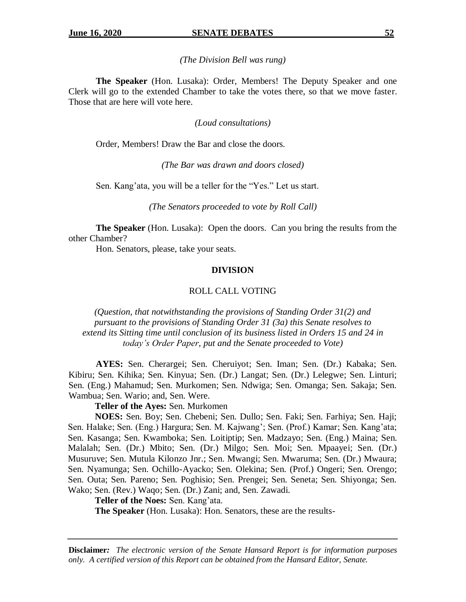#### *(The Division Bell was rung)*

**The Speaker** (Hon. Lusaka): Order, Members! The Deputy Speaker and one Clerk will go to the extended Chamber to take the votes there, so that we move faster. Those that are here will vote here.

#### *(Loud consultations)*

Order, Members! Draw the Bar and close the doors.

*(The Bar was drawn and doors closed)*

Sen. Kang'ata, you will be a teller for the "Yes." Let us start.

*(The Senators proceeded to vote by Roll Call)*

**The Speaker** (Hon. Lusaka): Open the doors. Can you bring the results from the other Chamber?

Hon. Senators, please, take your seats.

#### **DIVISION**

#### ROLL CALL VOTING

*(Question, that notwithstanding the provisions of Standing Order 31(2) and pursuant to the provisions of Standing Order 31 (3a) this Senate resolves to extend its Sitting time until conclusion of its business listed in Orders 15 and 24 in today's Order Paper, put and the Senate proceeded to Vote)* 

**AYES:** Sen. Cherargei; Sen. Cheruiyot; Sen. Iman; Sen. (Dr.) Kabaka; Sen. Kibiru; Sen. Kihika; Sen. Kinyua; Sen. (Dr.) Langat; Sen. (Dr.) Lelegwe; Sen. Linturi; Sen. (Eng.) Mahamud; Sen. Murkomen; Sen. Ndwiga; Sen. Omanga; Sen. Sakaja; Sen. Wambua; Sen. Wario; and, Sen. Were.

## **Teller of the Ayes:** Sen. Murkomen

**NOES:** Sen. Boy; Sen. Chebeni; Sen. Dullo; Sen. Faki; Sen. Farhiya; Sen. Haji; Sen. Halake; Sen. (Eng.) Hargura; Sen. M. Kajwang'; Sen. (Prof.) Kamar; Sen. Kang'ata; Sen. Kasanga; Sen. Kwamboka; Sen. Loitiptip; Sen. Madzayo; Sen. (Eng.) Maina; Sen. Malalah; Sen. (Dr.) Mbito; Sen. (Dr.) Milgo; Sen. Moi; Sen. Mpaayei; Sen. (Dr.) Musuruve; Sen. Mutula Kilonzo Jnr.; Sen. Mwangi; Sen. Mwaruma; Sen. (Dr.) Mwaura; Sen. Nyamunga; Sen. Ochillo-Ayacko; Sen. Olekina; Sen. (Prof.) Ongeri; Sen. Orengo; Sen. Outa; Sen. Pareno; Sen. Poghisio; Sen. Prengei; Sen. Seneta; Sen. Shiyonga; Sen. Wako; Sen. (Rev.) Waqo; Sen. (Dr.) Zani; and, Sen. Zawadi.

**Teller of the Noes:** Sen. Kang'ata.

**The Speaker** (Hon. Lusaka): Hon. Senators, these are the results-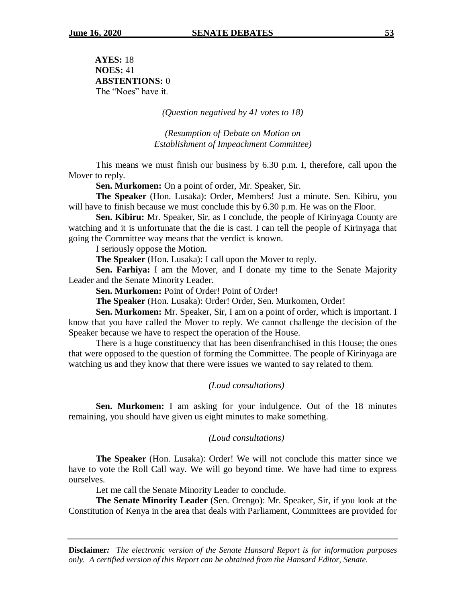**AYES:** 18 **NOES:** 41 **ABSTENTIONS:** 0 The "Noes" have it.

*(Question negatived by 41 votes to 18)*

*(Resumption of Debate on Motion on Establishment of Impeachment Committee)*

This means we must finish our business by 6.30 p.m. I, therefore, call upon the Mover to reply.

**Sen. Murkomen:** On a point of order, Mr. Speaker, Sir.

**The Speaker** (Hon. Lusaka): Order, Members! Just a minute. Sen. Kibiru, you will have to finish because we must conclude this by 6.30 p.m. He was on the Floor.

**Sen. Kibiru:** Mr. Speaker, Sir, as I conclude, the people of Kirinyaga County are watching and it is unfortunate that the die is cast. I can tell the people of Kirinyaga that going the Committee way means that the verdict is known.

I seriously oppose the Motion.

**The Speaker** (Hon. Lusaka): I call upon the Mover to reply.

**Sen. Farhiya:** I am the Mover, and I donate my time to the Senate Majority Leader and the Senate Minority Leader.

**Sen. Murkomen:** Point of Order! Point of Order!

**The Speaker** (Hon. Lusaka): Order! Order, Sen. Murkomen, Order!

**Sen. Murkomen:** Mr. Speaker, Sir, I am on a point of order, which is important. I know that you have called the Mover to reply. We cannot challenge the decision of the Speaker because we have to respect the operation of the House.

There is a huge constituency that has been disenfranchised in this House; the ones that were opposed to the question of forming the Committee. The people of Kirinyaga are watching us and they know that there were issues we wanted to say related to them.

## *(Loud consultations)*

**Sen. Murkomen:** I am asking for your indulgence. Out of the 18 minutes remaining, you should have given us eight minutes to make something.

#### *(Loud consultations)*

**The Speaker** (Hon. Lusaka): Order! We will not conclude this matter since we have to vote the Roll Call way. We will go beyond time. We have had time to express ourselves.

Let me call the Senate Minority Leader to conclude.

**The Senate Minority Leader** (Sen. Orengo): Mr. Speaker, Sir, if you look at the Constitution of Kenya in the area that deals with Parliament, Committees are provided for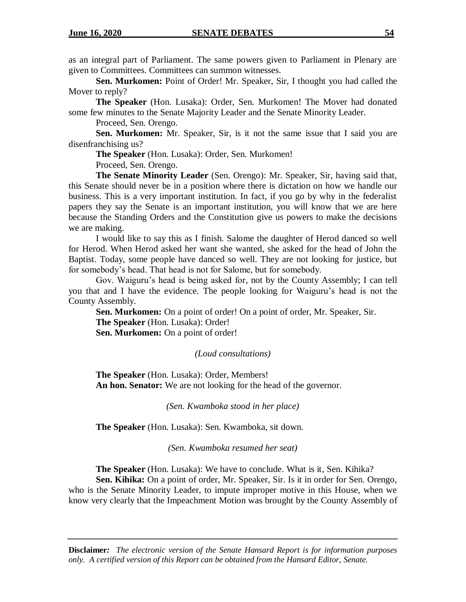as an integral part of Parliament. The same powers given to Parliament in Plenary are given to Committees. Committees can summon witnesses.

**Sen. Murkomen:** Point of Order! Mr. Speaker, Sir, I thought you had called the Mover to reply?

**The Speaker** (Hon. Lusaka): Order, Sen. Murkomen! The Mover had donated some few minutes to the Senate Majority Leader and the Senate Minority Leader.

Proceed, Sen. Orengo.

**Sen. Murkomen:** Mr. Speaker, Sir, is it not the same issue that I said you are disenfranchising us?

**The Speaker** (Hon. Lusaka): Order, Sen. Murkomen!

Proceed, Sen. Orengo.

**The Senate Minority Leader** (Sen. Orengo): Mr. Speaker, Sir, having said that, this Senate should never be in a position where there is dictation on how we handle our business. This is a very important institution. In fact, if you go by why in the federalist papers they say the Senate is an important institution, you will know that we are here because the Standing Orders and the Constitution give us powers to make the decisions we are making.

I would like to say this as I finish. Salome the daughter of Herod danced so well for Herod. When Herod asked her want she wanted, she asked for the head of John the Baptist. Today, some people have danced so well. They are not looking for justice, but for somebody's head. That head is not for Salome, but for somebody.

Gov. Waiguru's head is being asked for, not by the County Assembly; I can tell you that and I have the evidence. The people looking for Waiguru's head is not the County Assembly.

**Sen. Murkomen:** On a point of order! On a point of order, Mr. Speaker, Sir. **The Speaker** (Hon. Lusaka): Order! **Sen. Murkomen:** On a point of order!

*(Loud consultations)*

**The Speaker** (Hon. Lusaka): Order, Members! **An hon. Senator:** We are not looking for the head of the governor.

*(Sen. Kwamboka stood in her place)*

**The Speaker** (Hon. Lusaka): Sen. Kwamboka, sit down.

*(Sen. Kwamboka resumed her seat)*

**The Speaker** (Hon. Lusaka): We have to conclude. What is it, Sen. Kihika?

**Sen. Kihika:** On a point of order, Mr. Speaker, Sir. Is it in order for Sen. Orengo, who is the Senate Minority Leader, to impute improper motive in this House, when we know very clearly that the Impeachment Motion was brought by the County Assembly of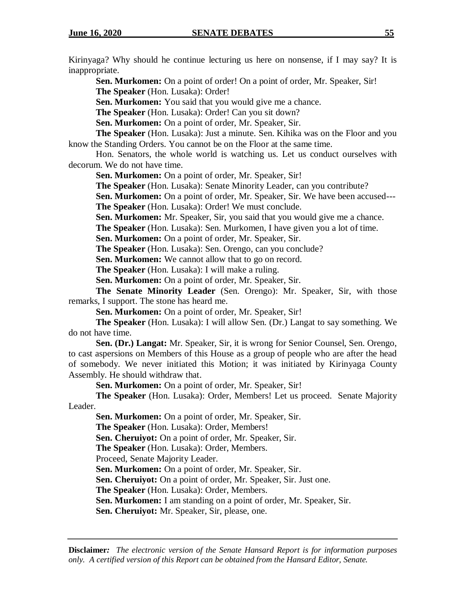Kirinyaga? Why should he continue lecturing us here on nonsense, if I may say? It is inappropriate.

**Sen. Murkomen:** On a point of order! On a point of order, Mr. Speaker, Sir! **The Speaker** (Hon. Lusaka): Order!

**Sen. Murkomen:** You said that you would give me a chance.

**The Speaker** (Hon. Lusaka): Order! Can you sit down?

**Sen. Murkomen:** On a point of order, Mr. Speaker, Sir.

**The Speaker** (Hon. Lusaka): Just a minute. Sen. Kihika was on the Floor and you know the Standing Orders. You cannot be on the Floor at the same time.

Hon. Senators, the whole world is watching us. Let us conduct ourselves with decorum. We do not have time.

**Sen. Murkomen:** On a point of order, Mr. Speaker, Sir!

**The Speaker** (Hon. Lusaka): Senate Minority Leader, can you contribute?

**Sen. Murkomen:** On a point of order, Mr. Speaker, Sir. We have been accused--- **The Speaker** (Hon. Lusaka): Order! We must conclude.

**Sen. Murkomen:** Mr. Speaker, Sir, you said that you would give me a chance.

**The Speaker** (Hon. Lusaka): Sen. Murkomen, I have given you a lot of time.

**Sen. Murkomen:** On a point of order, Mr. Speaker, Sir.

**The Speaker** (Hon. Lusaka): Sen. Orengo, can you conclude?

**Sen. Murkomen:** We cannot allow that to go on record.

**The Speaker** (Hon. Lusaka): I will make a ruling.

**Sen. Murkomen:** On a point of order, Mr. Speaker, Sir.

**The Senate Minority Leader** (Sen. Orengo): Mr. Speaker, Sir, with those remarks, I support. The stone has heard me.

**Sen. Murkomen:** On a point of order, Mr. Speaker, Sir!

**The Speaker** (Hon. Lusaka): I will allow Sen. (Dr.) Langat to say something. We do not have time.

**Sen. (Dr.) Langat:** Mr. Speaker, Sir, it is wrong for Senior Counsel, Sen. Orengo, to cast aspersions on Members of this House as a group of people who are after the head of somebody. We never initiated this Motion; it was initiated by Kirinyaga County Assembly. He should withdraw that.

**Sen. Murkomen:** On a point of order, Mr. Speaker, Sir!

**The Speaker** (Hon. Lusaka): Order, Members! Let us proceed. Senate Majority Leader.

**Sen. Murkomen:** On a point of order, Mr. Speaker, Sir.

**The Speaker** (Hon. Lusaka): Order, Members!

**Sen. Cheruiyot:** On a point of order, Mr. Speaker, Sir.

**The Speaker** (Hon. Lusaka): Order, Members.

Proceed, Senate Majority Leader.

**Sen. Murkomen:** On a point of order, Mr. Speaker, Sir.

**Sen. Cheruiyot:** On a point of order, Mr. Speaker, Sir. Just one.

**The Speaker** (Hon. Lusaka): Order, Members.

**Sen. Murkomen:** I am standing on a point of order, Mr. Speaker, Sir.

**Sen. Cheruiyot:** Mr. Speaker, Sir, please, one.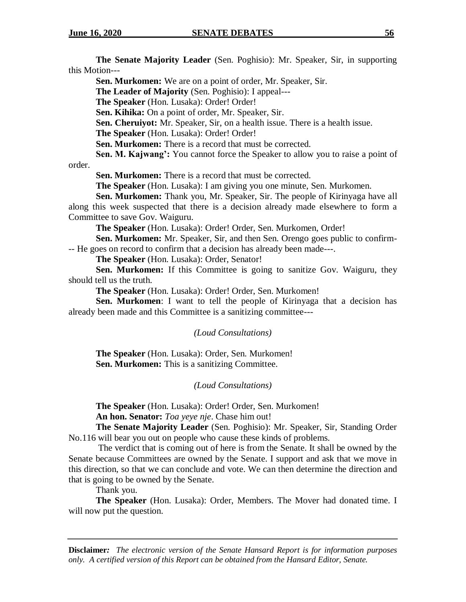**The Senate Majority Leader** (Sen. Poghisio): Mr. Speaker, Sir, in supporting this Motion---

**Sen. Murkomen:** We are on a point of order, Mr. Speaker, Sir.

**The Leader of Majority** (Sen. Poghisio): I appeal---

**The Speaker** (Hon. Lusaka): Order! Order!

**Sen. Kihika:** On a point of order, Mr. Speaker, Sir.

**Sen. Cheruiyot:** Mr. Speaker, Sir, on a health issue. There is a health issue.

**The Speaker** (Hon. Lusaka): Order! Order!

**Sen. Murkomen:** There is a record that must be corrected.

**Sen. M. Kajwang':** You cannot force the Speaker to allow you to raise a point of order.

**Sen. Murkomen:** There is a record that must be corrected.

**The Speaker** (Hon. Lusaka): I am giving you one minute, Sen. Murkomen.

**Sen. Murkomen:** Thank you, Mr. Speaker, Sir. The people of Kirinyaga have all along this week suspected that there is a decision already made elsewhere to form a Committee to save Gov. Waiguru.

**The Speaker** (Hon. Lusaka): Order! Order, Sen. Murkomen, Order!

**Sen. Murkomen:** Mr. Speaker, Sir, and then Sen. Orengo goes public to confirm- -- He goes on record to confirm that a decision has already been made---.

**The Speaker** (Hon. Lusaka): Order, Senator!

**Sen. Murkomen:** If this Committee is going to sanitize Gov. Waiguru, they should tell us the truth.

**The Speaker** (Hon. Lusaka): Order! Order, Sen. Murkomen!

**Sen. Murkomen**: I want to tell the people of Kirinyaga that a decision has already been made and this Committee is a sanitizing committee---

## *(Loud Consultations)*

**The Speaker** (Hon. Lusaka): Order, Sen. Murkomen! **Sen. Murkomen:** This is a sanitizing Committee.

## *(Loud Consultations)*

**The Speaker** (Hon. Lusaka): Order! Order, Sen. Murkomen! **An hon. Senator:** *Toa yeye nje*. Chase him out!

**The Senate Majority Leader** (Sen. Poghisio): Mr. Speaker, Sir, Standing Order No.116 will bear you out on people who cause these kinds of problems.

The verdict that is coming out of here is from the Senate. It shall be owned by the Senate because Committees are owned by the Senate. I support and ask that we move in this direction, so that we can conclude and vote. We can then determine the direction and that is going to be owned by the Senate.

Thank you.

**The Speaker** (Hon. Lusaka): Order, Members. The Mover had donated time. I will now put the question.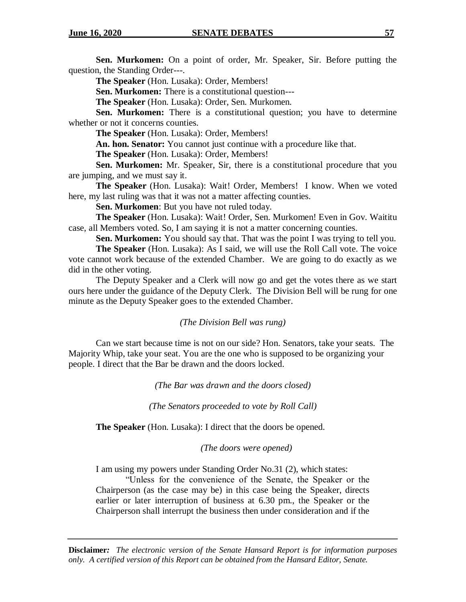**Sen. Murkomen:** On a point of order, Mr. Speaker, Sir. Before putting the question, the Standing Order---.

**The Speaker** (Hon. Lusaka): Order, Members!

**Sen. Murkomen:** There is a constitutional question---

**The Speaker** (Hon. Lusaka): Order, Sen. Murkomen.

**Sen. Murkomen:** There is a constitutional question; you have to determine whether or not it concerns counties.

**The Speaker** (Hon. Lusaka): Order, Members!

**An. hon. Senator:** You cannot just continue with a procedure like that.

**The Speaker** (Hon. Lusaka): Order, Members!

**Sen. Murkomen:** Mr. Speaker, Sir, there is a constitutional procedure that you are jumping, and we must say it.

**The Speaker** (Hon. Lusaka): Wait! Order, Members! I know. When we voted here, my last ruling was that it was not a matter affecting counties.

**Sen. Murkomen**: But you have not ruled today.

**The Speaker** (Hon. Lusaka): Wait! Order, Sen. Murkomen! Even in Gov. Waititu case, all Members voted. So, I am saying it is not a matter concerning counties.

**Sen. Murkomen:** You should say that. That was the point I was trying to tell you.

**The Speaker** (Hon. Lusaka): As I said, we will use the Roll Call vote. The voice vote cannot work because of the extended Chamber. We are going to do exactly as we did in the other voting.

The Deputy Speaker and a Clerk will now go and get the votes there as we start ours here under the guidance of the Deputy Clerk. The Division Bell will be rung for one minute as the Deputy Speaker goes to the extended Chamber.

## *(The Division Bell was rung)*

Can we start because time is not on our side? Hon. Senators, take your seats. The Majority Whip, take your seat. You are the one who is supposed to be organizing your people. I direct that the Bar be drawn and the doors locked.

*(The Bar was drawn and the doors closed)*

*(The Senators proceeded to vote by Roll Call)*

**The Speaker** (Hon. Lusaka): I direct that the doors be opened.

*(The doors were opened)*

I am using my powers under Standing Order No.31 (2), which states:

"Unless for the convenience of the Senate, the Speaker or the Chairperson (as the case may be) in this case being the Speaker, directs earlier or later interruption of business at 6.30 pm., the Speaker or the Chairperson shall interrupt the business then under consideration and if the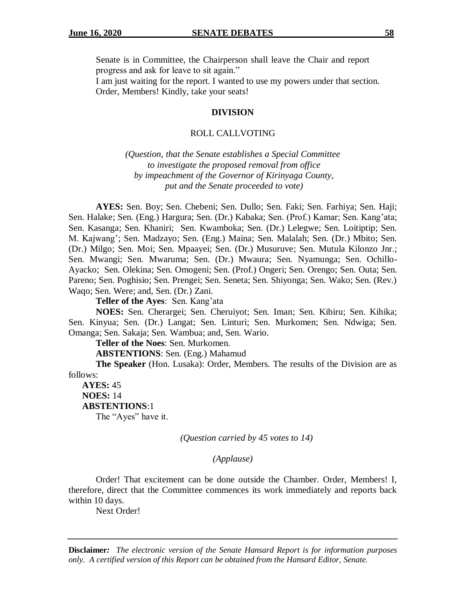Senate is in Committee, the Chairperson shall leave the Chair and report progress and ask for leave to sit again."

I am just waiting for the report. I wanted to use my powers under that section. Order, Members! Kindly, take your seats!

#### **DIVISION**

#### ROLL CALLVOTING

*(Question, that the Senate establishes a Special Committee to investigate the proposed removal from office by impeachment of the Governor of Kirinyaga County, put and the Senate proceeded to vote)*

**AYES:** Sen. Boy; Sen. Chebeni; Sen. Dullo; Sen. Faki; Sen. Farhiya; Sen. Haji; Sen. Halake; Sen. (Eng.) Hargura; Sen. (Dr.) Kabaka; Sen. (Prof.) Kamar; Sen. Kang'ata; Sen. Kasanga; Sen. Khaniri; Sen. Kwamboka; Sen. (Dr.) Lelegwe; Sen. Loitiptip; Sen. M. Kajwang'; Sen. Madzayo; Sen. (Eng.) Maina; Sen. Malalah; Sen. (Dr.) Mbito; Sen. (Dr.) Milgo; Sen. Moi; Sen. Mpaayei; Sen. (Dr.) Musuruve; Sen. Mutula Kilonzo Jnr.; Sen. Mwangi; Sen. Mwaruma; Sen. (Dr.) Mwaura; Sen. Nyamunga; Sen. Ochillo-Ayacko; Sen. Olekina; Sen. Omogeni; Sen. (Prof.) Ongeri; Sen. Orengo; Sen. Outa; Sen. Pareno; Sen. Poghisio; Sen. Prengei; Sen. Seneta; Sen. Shiyonga; Sen. Wako; Sen. (Rev.) Waqo; Sen. Were; and, Sen. (Dr.) Zani.

**Teller of the Ayes**: Sen. Kang'ata

**NOES:** Sen. Cherargei; Sen. Cheruiyot; Sen. Iman; Sen. Kibiru; Sen. Kihika; Sen. Kinyua; Sen. (Dr.) Langat; Sen. Linturi; Sen. Murkomen; Sen. Ndwiga; Sen. Omanga; Sen. Sakaja; Sen. Wambua; and, Sen. Wario.

**Teller of the Noes**: Sen. Murkomen.

**ABSTENTIONS**: Sen. (Eng.) Mahamud

**The Speaker** (Hon. Lusaka): Order, Members. The results of the Division are as follows:

**AYES:** 45 **NOES:** 14 **ABSTENTIONS**:1 The "Ayes" have it.

*(Question carried by 45 votes to 14)*

*(Applause)*

Order! That excitement can be done outside the Chamber. Order, Members! I, therefore, direct that the Committee commences its work immediately and reports back within 10 days.

Next Order!